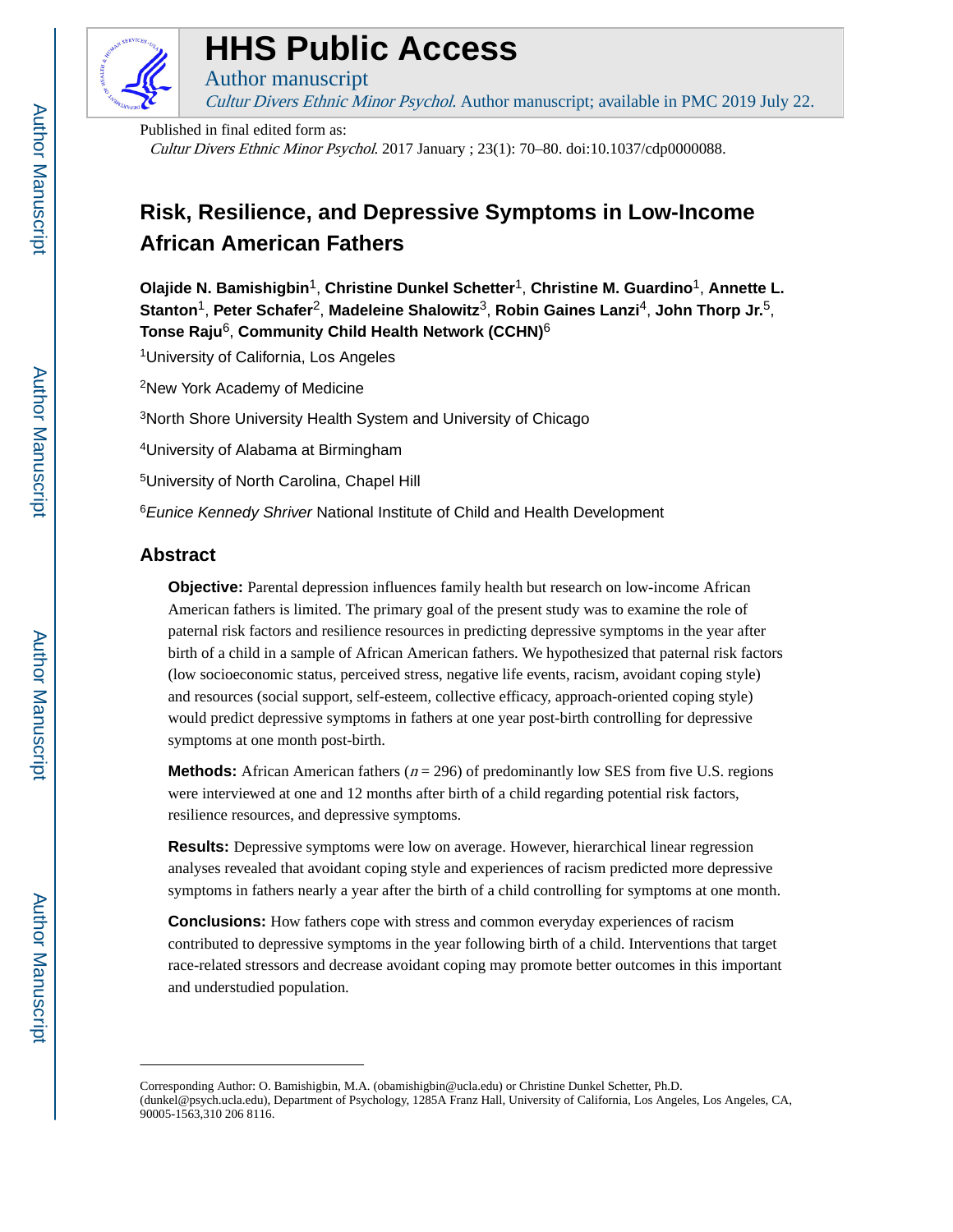

# **HHS Public Access**

Author manuscript Cultur Divers Ethnic Minor Psychol. Author manuscript; available in PMC 2019 July 22.

Published in final edited form as: Cultur Divers Ethnic Minor Psychol. 2017 January ; 23(1): 70–80. doi:10.1037/cdp0000088.

# **Risk, Resilience, and Depressive Symptoms in Low-Income African American Fathers**

**Olajide N. Bamishigbin**1, **Christine Dunkel Schetter**1, **Christine M. Guardino**1, **Annette L. Stanton**1, **Peter Schafer**2, **Madeleine Shalowitz**3, **Robin Gaines Lanzi**4, **John Thorp Jr.**5, **Tonse Raju**6, **Community Child Health Network (CCHN)**<sup>6</sup>

<sup>1</sup>University of California, Los Angeles

<sup>2</sup>New York Academy of Medicine

<sup>3</sup>North Shore University Health System and University of Chicago

<sup>4</sup>University of Alabama at Birmingham

<sup>5</sup>University of North Carolina, Chapel Hill

<sup>6</sup> Eunice Kennedy Shriver National Institute of Child and Health Development

# **Abstract**

**Objective:** Parental depression influences family health but research on low-income African American fathers is limited. The primary goal of the present study was to examine the role of paternal risk factors and resilience resources in predicting depressive symptoms in the year after birth of a child in a sample of African American fathers. We hypothesized that paternal risk factors (low socioeconomic status, perceived stress, negative life events, racism, avoidant coping style) and resources (social support, self-esteem, collective efficacy, approach-oriented coping style) would predict depressive symptoms in fathers at one year post-birth controlling for depressive symptoms at one month post-birth.

**Methods:** African American fathers ( $n = 296$ ) of predominantly low SES from five U.S. regions were interviewed at one and 12 months after birth of a child regarding potential risk factors, resilience resources, and depressive symptoms.

**Results:** Depressive symptoms were low on average. However, hierarchical linear regression analyses revealed that avoidant coping style and experiences of racism predicted more depressive symptoms in fathers nearly a year after the birth of a child controlling for symptoms at one month.

**Conclusions:** How fathers cope with stress and common everyday experiences of racism contributed to depressive symptoms in the year following birth of a child. Interventions that target race-related stressors and decrease avoidant coping may promote better outcomes in this important and understudied population.

Corresponding Author: O. Bamishigbin, M.A. (obamishigbin@ucla.edu) or Christine Dunkel Schetter, Ph.D. (dunkel@psych.ucla.edu), Department of Psychology, 1285A Franz Hall, University of California, Los Angeles, Los Angeles, CA, 90005-1563,310 206 8116.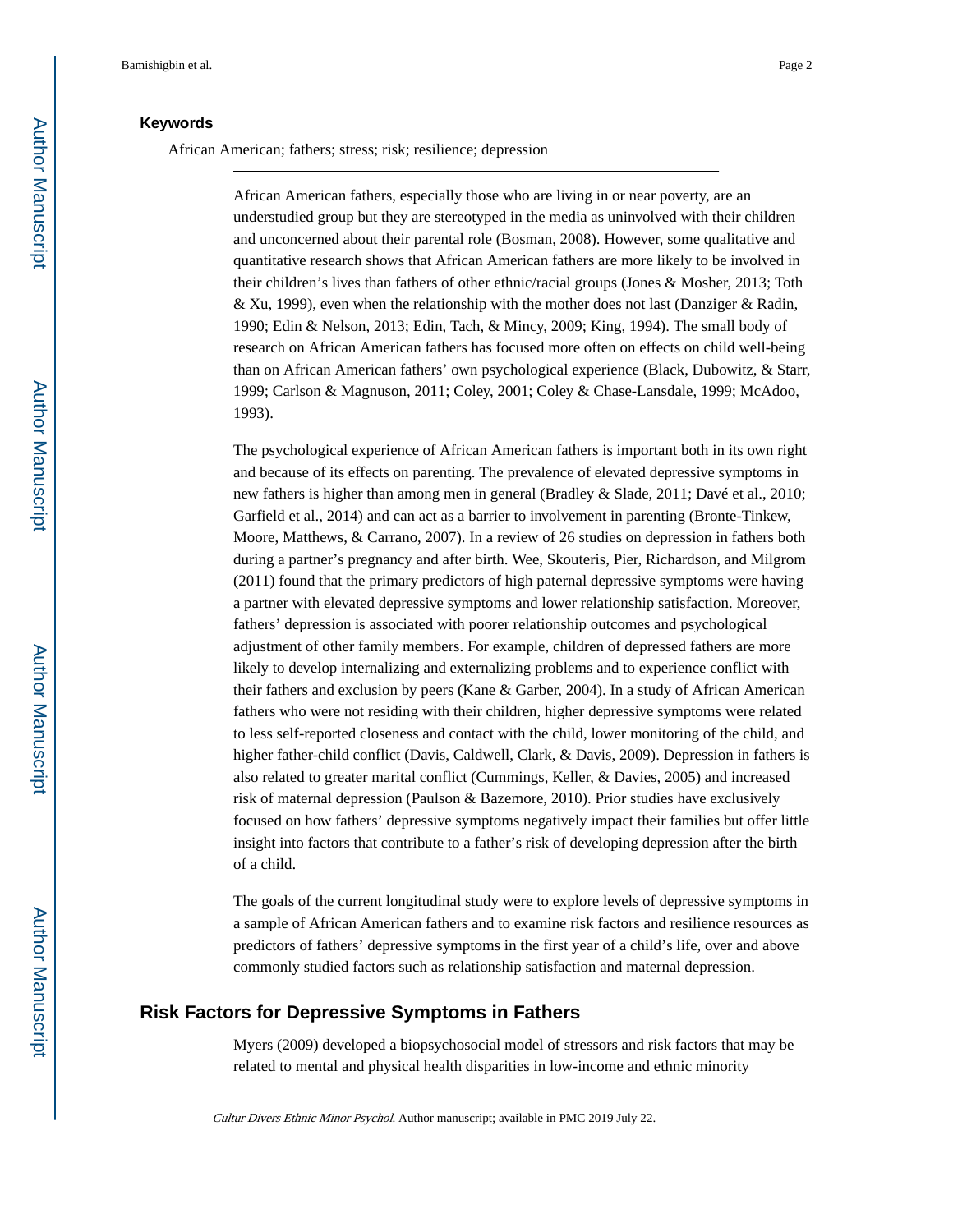# **Keywords**

African American; fathers; stress; risk; resilience; depression

African American fathers, especially those who are living in or near poverty, are an understudied group but they are stereotyped in the media as uninvolved with their children and unconcerned about their parental role (Bosman, 2008). However, some qualitative and quantitative research shows that African American fathers are more likely to be involved in their children's lives than fathers of other ethnic/racial groups (Jones & Mosher, 2013; Toth & Xu, 1999), even when the relationship with the mother does not last (Danziger & Radin, 1990; Edin & Nelson, 2013; Edin, Tach, & Mincy, 2009; King, 1994). The small body of research on African American fathers has focused more often on effects on child well-being than on African American fathers' own psychological experience (Black, Dubowitz, & Starr, 1999; Carlson & Magnuson, 2011; Coley, 2001; Coley & Chase-Lansdale, 1999; McAdoo, 1993).

The psychological experience of African American fathers is important both in its own right and because of its effects on parenting. The prevalence of elevated depressive symptoms in new fathers is higher than among men in general (Bradley & Slade, 2011; Davé et al., 2010; Garfield et al., 2014) and can act as a barrier to involvement in parenting (Bronte-Tinkew, Moore, Matthews, & Carrano, 2007). In a review of 26 studies on depression in fathers both during a partner's pregnancy and after birth. Wee, Skouteris, Pier, Richardson, and Milgrom (2011) found that the primary predictors of high paternal depressive symptoms were having a partner with elevated depressive symptoms and lower relationship satisfaction. Moreover, fathers' depression is associated with poorer relationship outcomes and psychological adjustment of other family members. For example, children of depressed fathers are more likely to develop internalizing and externalizing problems and to experience conflict with their fathers and exclusion by peers (Kane & Garber, 2004). In a study of African American fathers who were not residing with their children, higher depressive symptoms were related to less self-reported closeness and contact with the child, lower monitoring of the child, and higher father-child conflict (Davis, Caldwell, Clark, & Davis, 2009). Depression in fathers is also related to greater marital conflict (Cummings, Keller, & Davies, 2005) and increased risk of maternal depression (Paulson & Bazemore, 2010). Prior studies have exclusively focused on how fathers' depressive symptoms negatively impact their families but offer little insight into factors that contribute to a father's risk of developing depression after the birth of a child.

The goals of the current longitudinal study were to explore levels of depressive symptoms in a sample of African American fathers and to examine risk factors and resilience resources as predictors of fathers' depressive symptoms in the first year of a child's life, over and above commonly studied factors such as relationship satisfaction and maternal depression.

# **Risk Factors for Depressive Symptoms in Fathers**

Myers (2009) developed a biopsychosocial model of stressors and risk factors that may be related to mental and physical health disparities in low-income and ethnic minority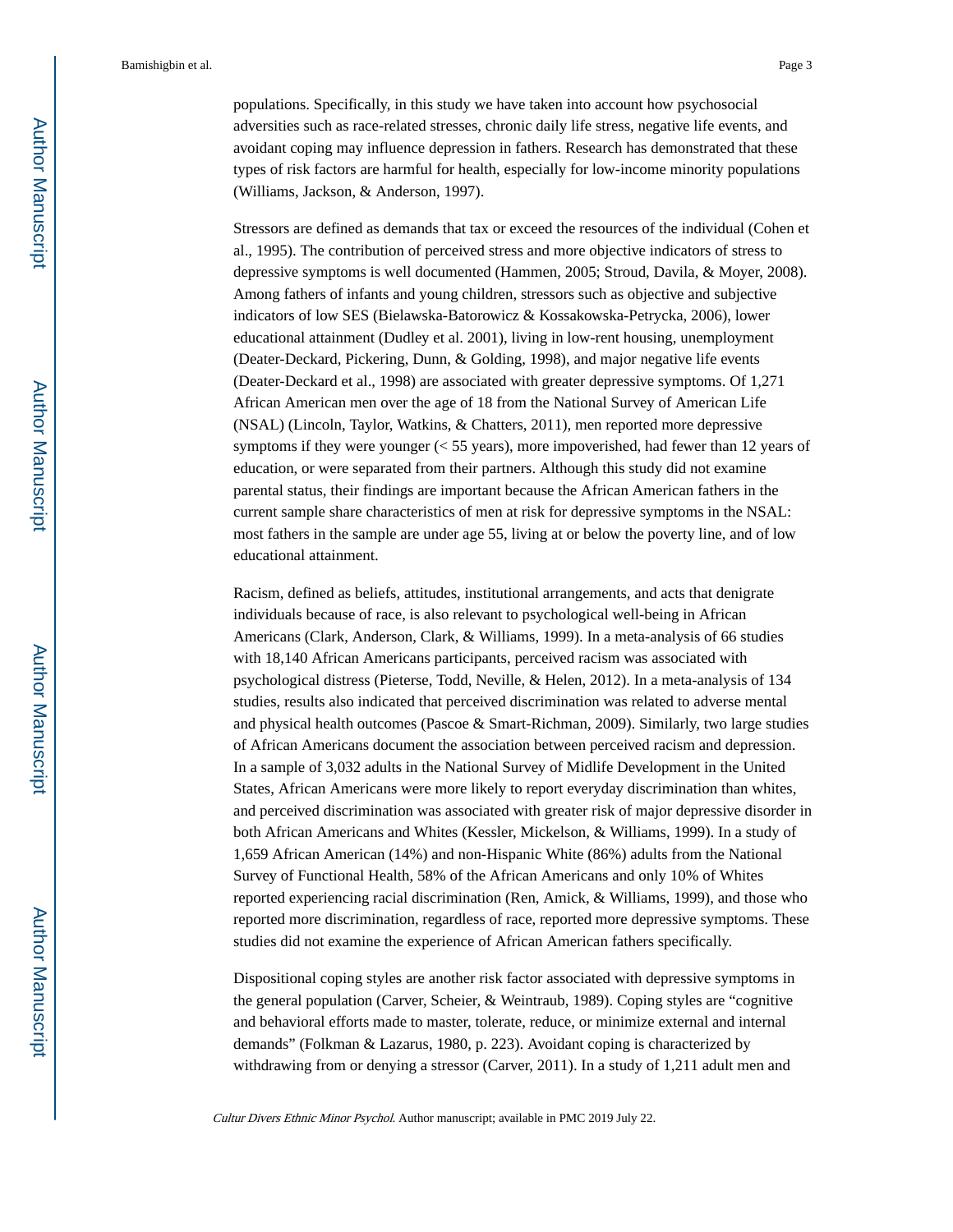populations. Specifically, in this study we have taken into account how psychosocial adversities such as race-related stresses, chronic daily life stress, negative life events, and avoidant coping may influence depression in fathers. Research has demonstrated that these types of risk factors are harmful for health, especially for low-income minority populations (Williams, Jackson, & Anderson, 1997).

Stressors are defined as demands that tax or exceed the resources of the individual (Cohen et al., 1995). The contribution of perceived stress and more objective indicators of stress to depressive symptoms is well documented (Hammen, 2005; Stroud, Davila, & Moyer, 2008). Among fathers of infants and young children, stressors such as objective and subjective indicators of low SES (Bielawska-Batorowicz & Kossakowska-Petrycka, 2006), lower educational attainment (Dudley et al. 2001), living in low-rent housing, unemployment (Deater-Deckard, Pickering, Dunn, & Golding, 1998), and major negative life events (Deater-Deckard et al., 1998) are associated with greater depressive symptoms. Of 1,271 African American men over the age of 18 from the National Survey of American Life (NSAL) (Lincoln, Taylor, Watkins, & Chatters, 2011), men reported more depressive symptoms if they were younger (< 55 years), more impoverished, had fewer than 12 years of education, or were separated from their partners. Although this study did not examine parental status, their findings are important because the African American fathers in the current sample share characteristics of men at risk for depressive symptoms in the NSAL: most fathers in the sample are under age 55, living at or below the poverty line, and of low educational attainment.

Racism, defined as beliefs, attitudes, institutional arrangements, and acts that denigrate individuals because of race, is also relevant to psychological well-being in African Americans (Clark, Anderson, Clark, & Williams, 1999). In a meta-analysis of 66 studies with 18,140 African Americans participants, perceived racism was associated with psychological distress (Pieterse, Todd, Neville, & Helen, 2012). In a meta-analysis of 134 studies, results also indicated that perceived discrimination was related to adverse mental and physical health outcomes (Pascoe & Smart-Richman, 2009). Similarly, two large studies of African Americans document the association between perceived racism and depression. In a sample of 3,032 adults in the National Survey of Midlife Development in the United States, African Americans were more likely to report everyday discrimination than whites, and perceived discrimination was associated with greater risk of major depressive disorder in both African Americans and Whites (Kessler, Mickelson, & Williams, 1999). In a study of 1,659 African American (14%) and non-Hispanic White (86%) adults from the National Survey of Functional Health, 58% of the African Americans and only 10% of Whites reported experiencing racial discrimination (Ren, Amick, & Williams, 1999), and those who reported more discrimination, regardless of race, reported more depressive symptoms. These studies did not examine the experience of African American fathers specifically.

Dispositional coping styles are another risk factor associated with depressive symptoms in the general population (Carver, Scheier, & Weintraub, 1989). Coping styles are "cognitive and behavioral efforts made to master, tolerate, reduce, or minimize external and internal demands" (Folkman & Lazarus, 1980, p. 223). Avoidant coping is characterized by withdrawing from or denying a stressor (Carver, 2011). In a study of 1,211 adult men and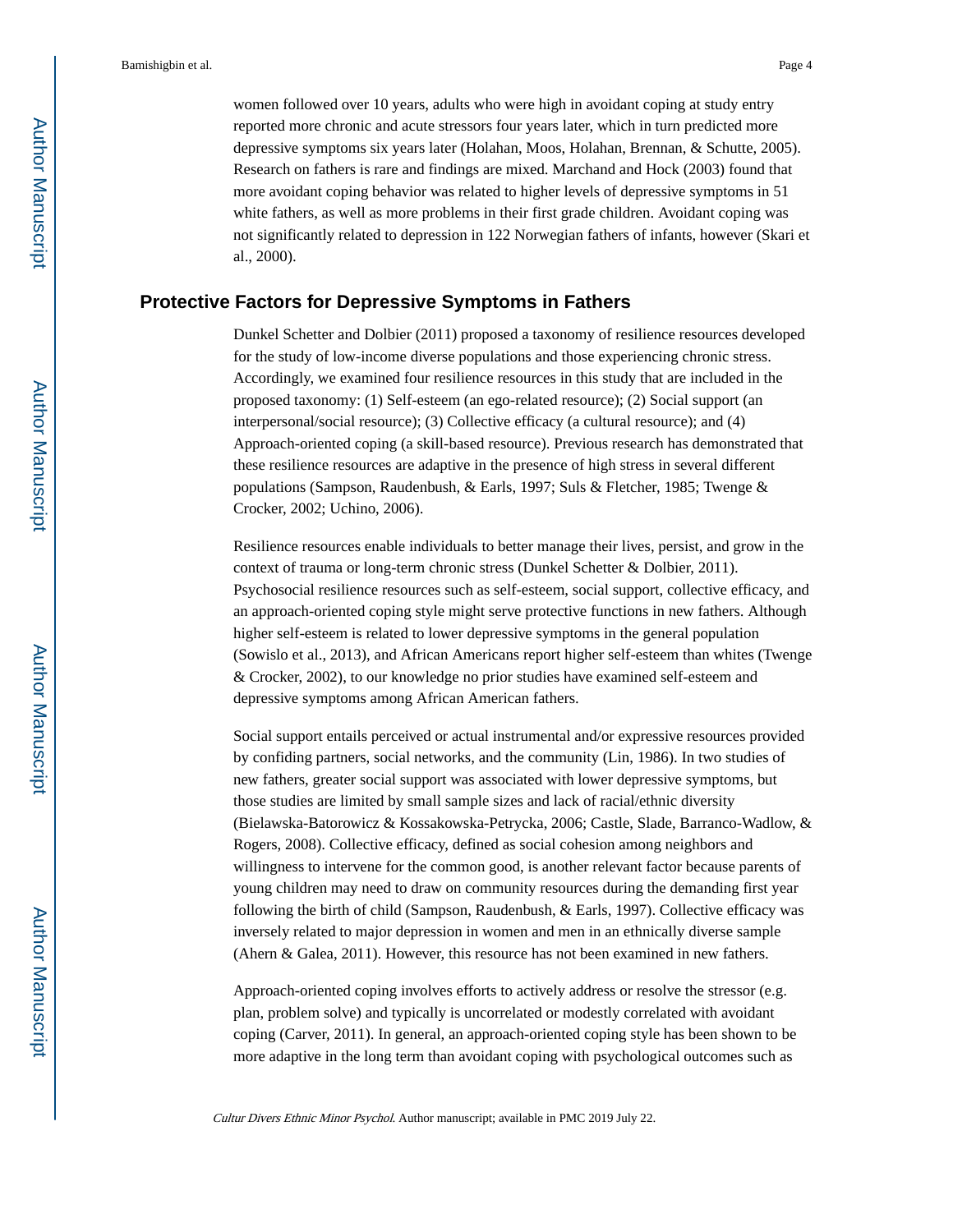women followed over 10 years, adults who were high in avoidant coping at study entry reported more chronic and acute stressors four years later, which in turn predicted more depressive symptoms six years later (Holahan, Moos, Holahan, Brennan, & Schutte, 2005). Research on fathers is rare and findings are mixed. Marchand and Hock (2003) found that more avoidant coping behavior was related to higher levels of depressive symptoms in 51 white fathers, as well as more problems in their first grade children. Avoidant coping was not significantly related to depression in 122 Norwegian fathers of infants, however (Skari et al., 2000).

# **Protective Factors for Depressive Symptoms in Fathers**

Dunkel Schetter and Dolbier (2011) proposed a taxonomy of resilience resources developed for the study of low-income diverse populations and those experiencing chronic stress. Accordingly, we examined four resilience resources in this study that are included in the proposed taxonomy: (1) Self-esteem (an ego-related resource); (2) Social support (an interpersonal/social resource); (3) Collective efficacy (a cultural resource); and (4) Approach-oriented coping (a skill-based resource). Previous research has demonstrated that these resilience resources are adaptive in the presence of high stress in several different populations (Sampson, Raudenbush, & Earls, 1997; Suls & Fletcher, 1985; Twenge & Crocker, 2002; Uchino, 2006).

Resilience resources enable individuals to better manage their lives, persist, and grow in the context of trauma or long-term chronic stress (Dunkel Schetter & Dolbier, 2011). Psychosocial resilience resources such as self-esteem, social support, collective efficacy, and an approach-oriented coping style might serve protective functions in new fathers. Although higher self-esteem is related to lower depressive symptoms in the general population (Sowislo et al., 2013), and African Americans report higher self-esteem than whites (Twenge & Crocker, 2002), to our knowledge no prior studies have examined self-esteem and depressive symptoms among African American fathers.

Social support entails perceived or actual instrumental and/or expressive resources provided by confiding partners, social networks, and the community (Lin, 1986). In two studies of new fathers, greater social support was associated with lower depressive symptoms, but those studies are limited by small sample sizes and lack of racial/ethnic diversity (Bielawska-Batorowicz & Kossakowska-Petrycka, 2006; Castle, Slade, Barranco-Wadlow, & Rogers, 2008). Collective efficacy, defined as social cohesion among neighbors and willingness to intervene for the common good, is another relevant factor because parents of young children may need to draw on community resources during the demanding first year following the birth of child (Sampson, Raudenbush, & Earls, 1997). Collective efficacy was inversely related to major depression in women and men in an ethnically diverse sample (Ahern & Galea, 2011). However, this resource has not been examined in new fathers.

Approach-oriented coping involves efforts to actively address or resolve the stressor (e.g. plan, problem solve) and typically is uncorrelated or modestly correlated with avoidant coping (Carver, 2011). In general, an approach-oriented coping style has been shown to be more adaptive in the long term than avoidant coping with psychological outcomes such as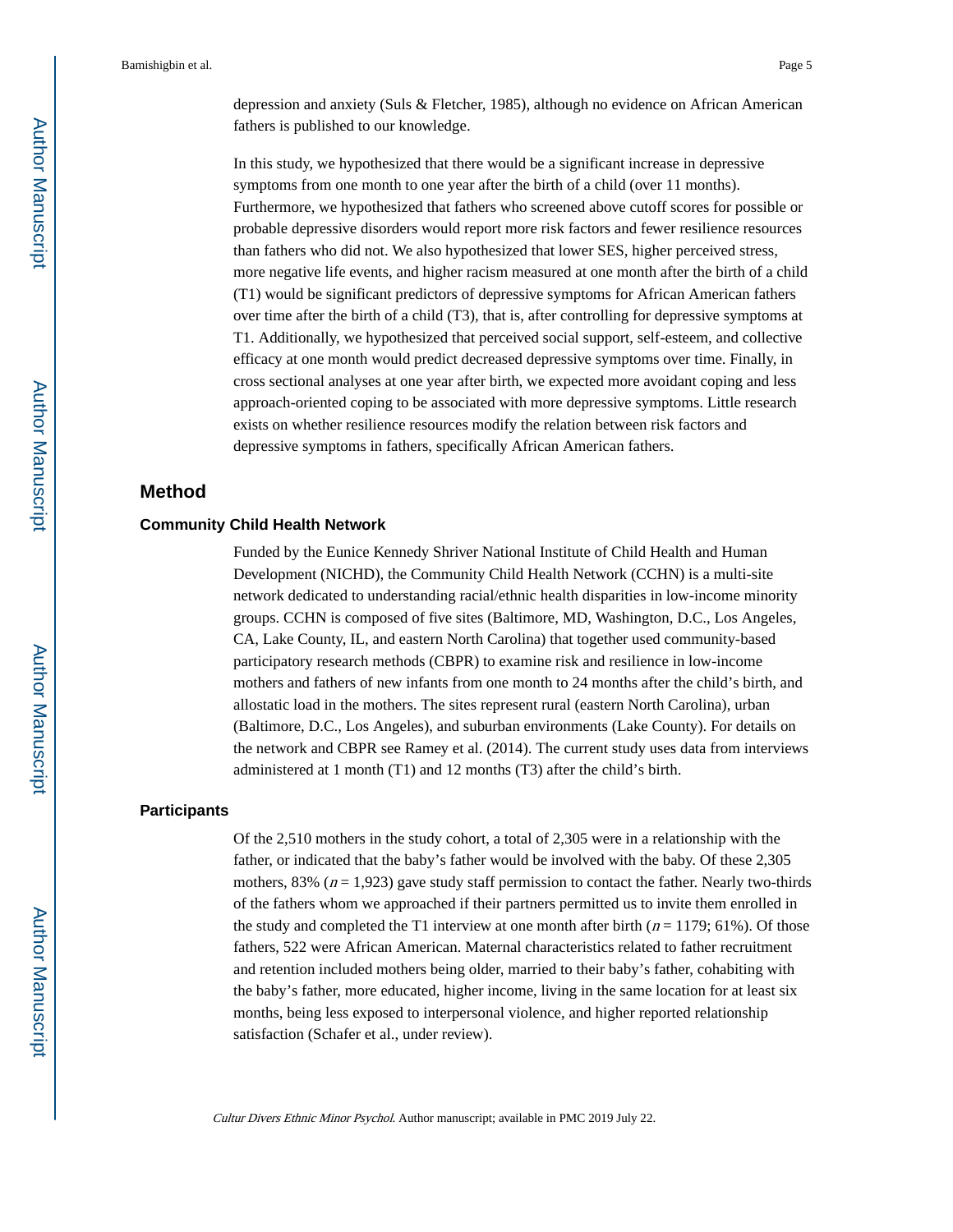depression and anxiety (Suls & Fletcher, 1985), although no evidence on African American fathers is published to our knowledge.

In this study, we hypothesized that there would be a significant increase in depressive symptoms from one month to one year after the birth of a child (over 11 months). Furthermore, we hypothesized that fathers who screened above cutoff scores for possible or probable depressive disorders would report more risk factors and fewer resilience resources than fathers who did not. We also hypothesized that lower SES, higher perceived stress, more negative life events, and higher racism measured at one month after the birth of a child (T1) would be significant predictors of depressive symptoms for African American fathers over time after the birth of a child (T3), that is, after controlling for depressive symptoms at T1. Additionally, we hypothesized that perceived social support, self-esteem, and collective efficacy at one month would predict decreased depressive symptoms over time. Finally, in cross sectional analyses at one year after birth, we expected more avoidant coping and less approach-oriented coping to be associated with more depressive symptoms. Little research exists on whether resilience resources modify the relation between risk factors and depressive symptoms in fathers, specifically African American fathers.

# **Method**

#### **Community Child Health Network**

Funded by the Eunice Kennedy Shriver National Institute of Child Health and Human Development (NICHD), the Community Child Health Network (CCHN) is a multi-site network dedicated to understanding racial/ethnic health disparities in low-income minority groups. CCHN is composed of five sites (Baltimore, MD, Washington, D.C., Los Angeles, CA, Lake County, IL, and eastern North Carolina) that together used community-based participatory research methods (CBPR) to examine risk and resilience in low-income mothers and fathers of new infants from one month to 24 months after the child's birth, and allostatic load in the mothers. The sites represent rural (eastern North Carolina), urban (Baltimore, D.C., Los Angeles), and suburban environments (Lake County). For details on the network and CBPR see Ramey et al. (2014). The current study uses data from interviews administered at 1 month (T1) and 12 months (T3) after the child's birth.

#### **Participants**

Of the 2,510 mothers in the study cohort, a total of 2,305 were in a relationship with the father, or indicated that the baby's father would be involved with the baby. Of these 2,305 mothers, 83% ( $n = 1,923$ ) gave study staff permission to contact the father. Nearly two-thirds of the fathers whom we approached if their partners permitted us to invite them enrolled in the study and completed the T1 interview at one month after birth ( $n = 1179$ ; 61%). Of those fathers, 522 were African American. Maternal characteristics related to father recruitment and retention included mothers being older, married to their baby's father, cohabiting with the baby's father, more educated, higher income, living in the same location for at least six months, being less exposed to interpersonal violence, and higher reported relationship satisfaction (Schafer et al., under review).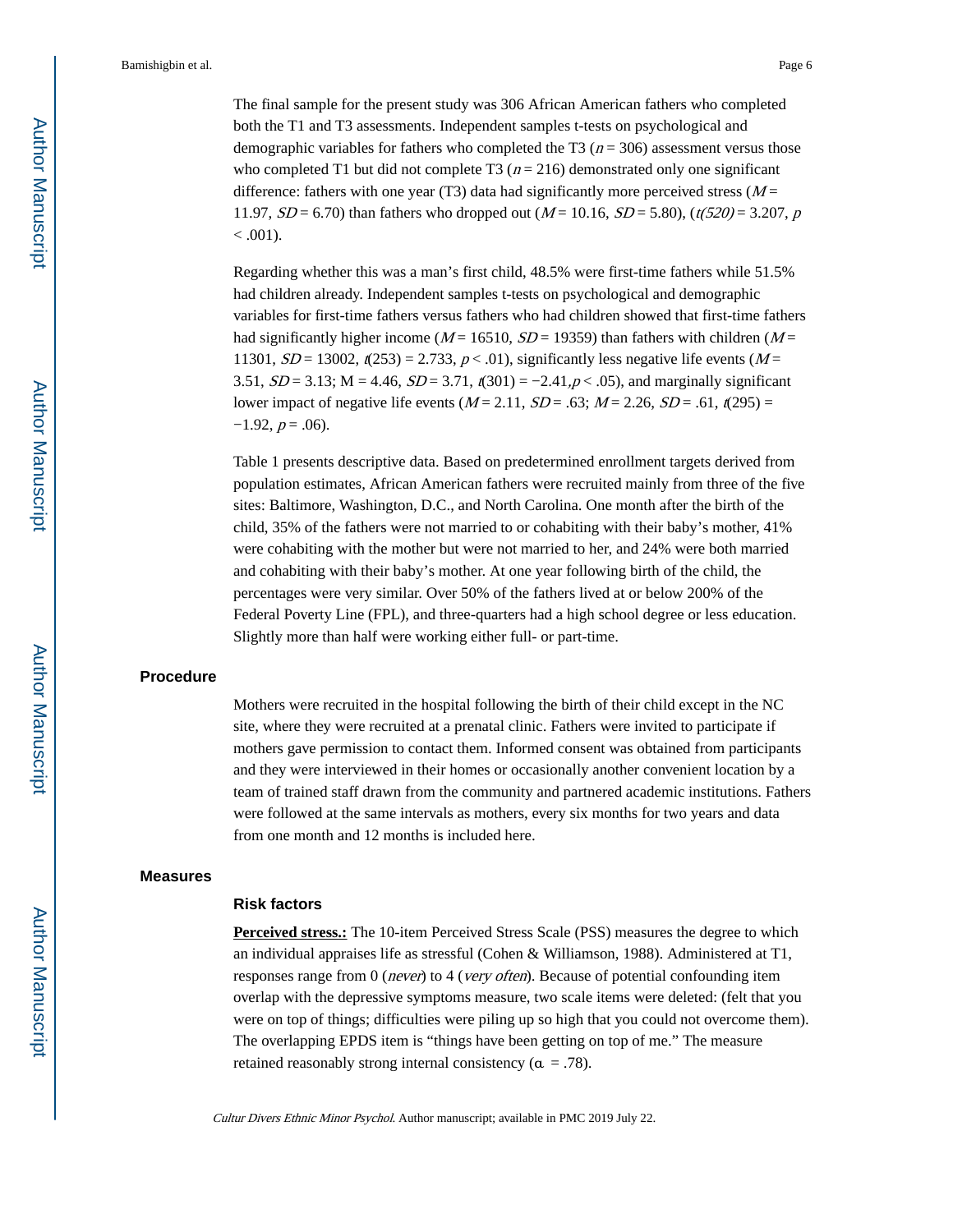The final sample for the present study was 306 African American fathers who completed both the T1 and T3 assessments. Independent samples t-tests on psychological and demographic variables for fathers who completed the T3 ( $n = 306$ ) assessment versus those who completed T1 but did not complete T3 ( $n = 216$ ) demonstrated only one significant difference: fathers with one year (T3) data had significantly more perceived stress ( $M =$ 11.97,  $SD = 6.70$ ) than fathers who dropped out ( $M = 10.16$ ,  $SD = 5.80$ ), ( $t(520) = 3.207$ , p  $< .001$ ).

Regarding whether this was a man's first child, 48.5% were first-time fathers while 51.5% had children already. Independent samples t-tests on psychological and demographic variables for first-time fathers versus fathers who had children showed that first-time fathers had significantly higher income ( $M = 16510$ ,  $SD = 19359$ ) than fathers with children ( $M =$ 11301,  $SD = 13002$ ,  $t(253) = 2.733$ ,  $p < .01$ ), significantly less negative life events (M = 3.51,  $SD = 3.13$ ; M = 4.46,  $SD = 3.71$ ,  $\zeta(301) = -2.41$ ,  $p < .05$ ), and marginally significant lower impact of negative life events ( $M = 2.11$ ,  $SD = .63$ ;  $M = 2.26$ ,  $SD = .61$ ,  $t(295) =$  $-1.92, p = .06$ ).

Table 1 presents descriptive data. Based on predetermined enrollment targets derived from population estimates, African American fathers were recruited mainly from three of the five sites: Baltimore, Washington, D.C., and North Carolina. One month after the birth of the child, 35% of the fathers were not married to or cohabiting with their baby's mother, 41% were cohabiting with the mother but were not married to her, and 24% were both married and cohabiting with their baby's mother. At one year following birth of the child, the percentages were very similar. Over 50% of the fathers lived at or below 200% of the Federal Poverty Line (FPL), and three-quarters had a high school degree or less education. Slightly more than half were working either full- or part-time.

#### **Procedure**

Mothers were recruited in the hospital following the birth of their child except in the NC site, where they were recruited at a prenatal clinic. Fathers were invited to participate if mothers gave permission to contact them. Informed consent was obtained from participants and they were interviewed in their homes or occasionally another convenient location by a team of trained staff drawn from the community and partnered academic institutions. Fathers were followed at the same intervals as mothers, every six months for two years and data from one month and 12 months is included here.

#### **Measures**

#### **Risk factors**

**Perceived stress.:** The 10-item Perceived Stress Scale (PSS) measures the degree to which an individual appraises life as stressful (Cohen & Williamson, 1988). Administered at T1, responses range from 0 (never) to 4 (very often). Because of potential confounding item overlap with the depressive symptoms measure, two scale items were deleted: (felt that you were on top of things; difficulties were piling up so high that you could not overcome them). The overlapping EPDS item is "things have been getting on top of me." The measure retained reasonably strong internal consistency ( $\alpha = .78$ ).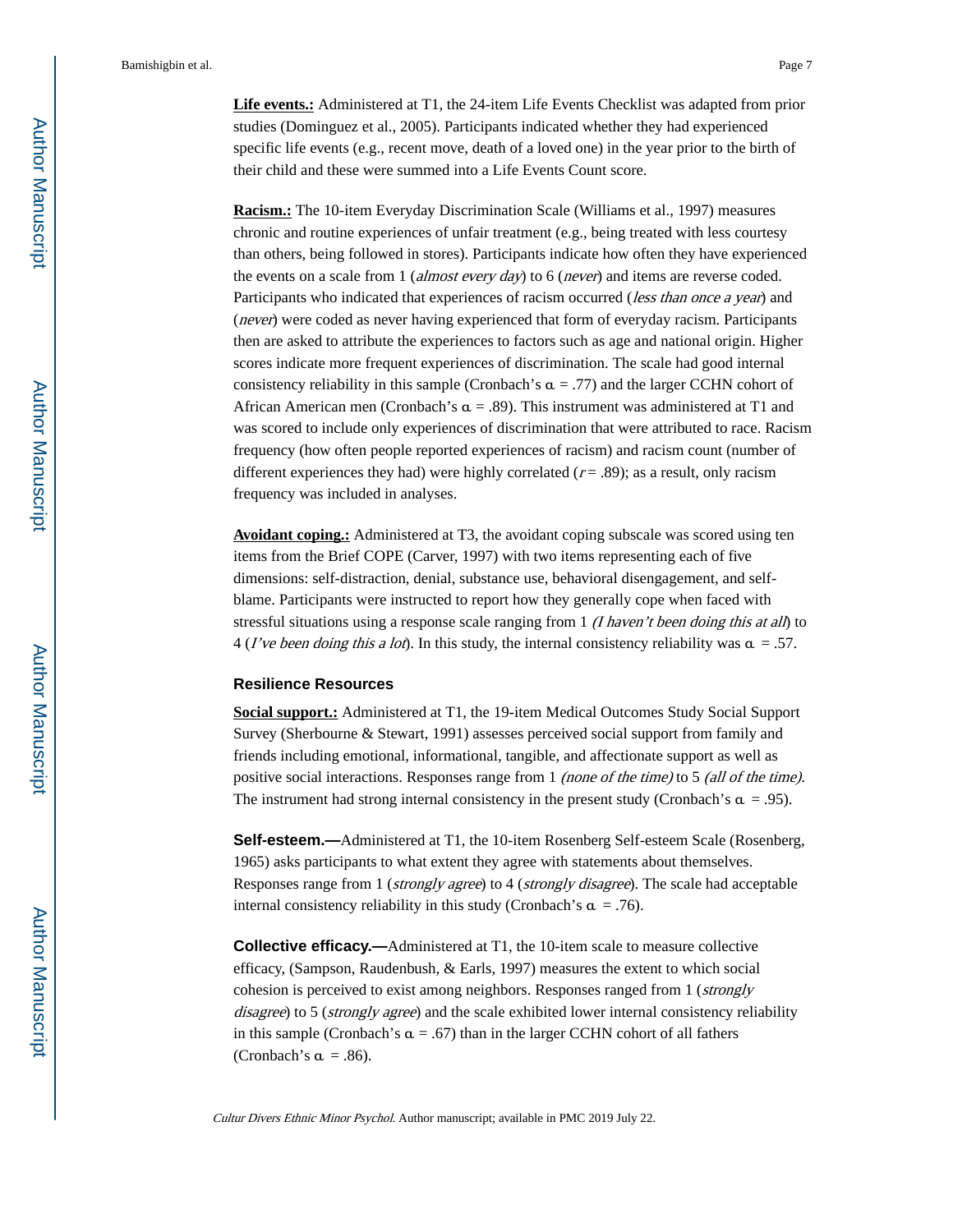**Life events.:** Administered at T1, the 24-item Life Events Checklist was adapted from prior studies (Dominguez et al., 2005). Participants indicated whether they had experienced specific life events (e.g., recent move, death of a loved one) in the year prior to the birth of their child and these were summed into a Life Events Count score.

**Racism.:** The 10-item Everyday Discrimination Scale (Williams et al., 1997) measures chronic and routine experiences of unfair treatment (e.g., being treated with less courtesy than others, being followed in stores). Participants indicate how often they have experienced the events on a scale from 1 (*almost every day*) to 6 (*never*) and items are reverse coded. Participants who indicated that experiences of racism occurred (*less than once a year*) and (never) were coded as never having experienced that form of everyday racism. Participants then are asked to attribute the experiences to factors such as age and national origin. Higher scores indicate more frequent experiences of discrimination. The scale had good internal consistency reliability in this sample (Cronbach's  $\alpha = .77$ ) and the larger CCHN cohort of African American men (Cronbach's  $\alpha$  = .89). This instrument was administered at T1 and was scored to include only experiences of discrimination that were attributed to race. Racism frequency (how often people reported experiences of racism) and racism count (number of different experiences they had) were highly correlated  $(r = .89)$ ; as a result, only racism frequency was included in analyses.

**Avoidant coping.:** Administered at T3, the avoidant coping subscale was scored using ten items from the Brief COPE (Carver, 1997) with two items representing each of five dimensions: self-distraction, denial, substance use, behavioral disengagement, and selfblame. Participants were instructed to report how they generally cope when faced with stressful situations using a response scale ranging from 1  $(I$  haven't been doing this at all) to 4 (*I've been doing this a lot*). In this study, the internal consistency reliability was  $\alpha = .57$ .

#### **Resilience Resources**

**Social support.:** Administered at T1, the 19-item Medical Outcomes Study Social Support Survey (Sherbourne & Stewart, 1991) assesses perceived social support from family and friends including emotional, informational, tangible, and affectionate support as well as positive social interactions. Responses range from 1 (none of the time) to 5 (all of the time). The instrument had strong internal consistency in the present study (Cronbach's  $\alpha = .95$ ).

**Self-esteem.—**Administered at T1, the 10-item Rosenberg Self-esteem Scale (Rosenberg, 1965) asks participants to what extent they agree with statements about themselves. Responses range from 1 (strongly agree) to 4 (strongly disagree). The scale had acceptable internal consistency reliability in this study (Cronbach's  $\alpha = .76$ ).

**Collective efficacy.**—Administered at T1, the 10-item scale to measure collective efficacy, (Sampson, Raudenbush, & Earls, 1997) measures the extent to which social cohesion is perceived to exist among neighbors. Responses ranged from 1 (strongly disagree) to 5 (strongly agree) and the scale exhibited lower internal consistency reliability in this sample (Cronbach's  $\alpha = .67$ ) than in the larger CCHN cohort of all fathers (Cronbach's  $\alpha = .86$ ).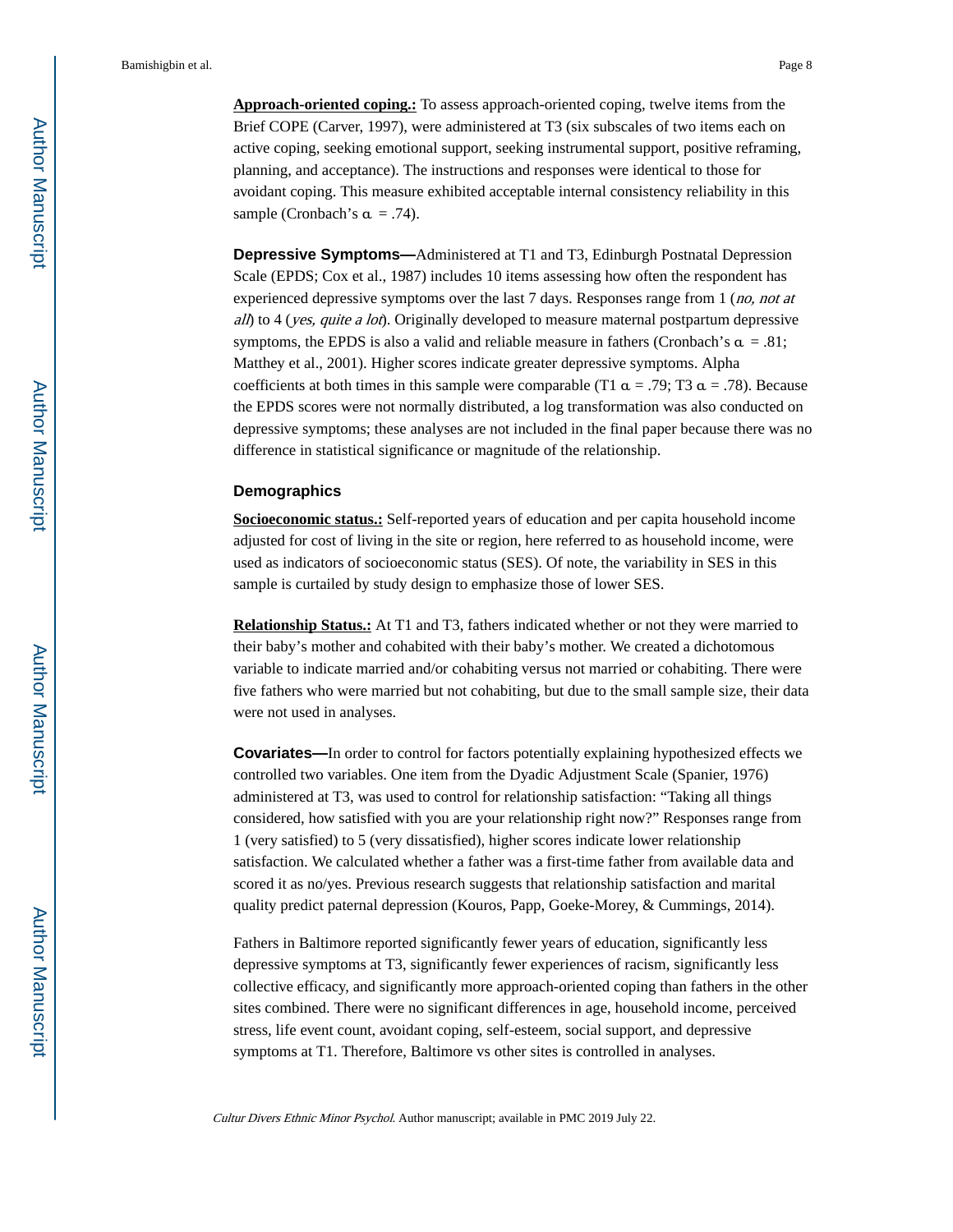**Approach-oriented coping.:** To assess approach-oriented coping, twelve items from the Brief COPE (Carver, 1997), were administered at T3 (six subscales of two items each on active coping, seeking emotional support, seeking instrumental support, positive reframing, planning, and acceptance). The instructions and responses were identical to those for avoidant coping. This measure exhibited acceptable internal consistency reliability in this sample (Cronbach's  $\alpha = .74$ ).

**Depressive Symptoms—**Administered at T1 and T3, Edinburgh Postnatal Depression Scale (EPDS; Cox et al., 1987) includes 10 items assessing how often the respondent has experienced depressive symptoms over the last 7 days. Responses range from 1 (*no, not at* all) to 4 (yes, quite a lot). Originally developed to measure maternal postpartum depressive symptoms, the EPDS is also a valid and reliable measure in fathers (Cronbach's  $\alpha = .81$ ; Matthey et al., 2001). Higher scores indicate greater depressive symptoms. Alpha coefficients at both times in this sample were comparable (T1  $\alpha$  = .79; T3  $\alpha$  = .78). Because the EPDS scores were not normally distributed, a log transformation was also conducted on depressive symptoms; these analyses are not included in the final paper because there was no difference in statistical significance or magnitude of the relationship.

#### **Demographics**

**Socioeconomic status.:** Self-reported years of education and per capita household income adjusted for cost of living in the site or region, here referred to as household income, were used as indicators of socioeconomic status (SES). Of note, the variability in SES in this sample is curtailed by study design to emphasize those of lower SES.

**Relationship Status.:** At T1 and T3, fathers indicated whether or not they were married to their baby's mother and cohabited with their baby's mother. We created a dichotomous variable to indicate married and/or cohabiting versus not married or cohabiting. There were five fathers who were married but not cohabiting, but due to the small sample size, their data were not used in analyses.

**Covariates—**In order to control for factors potentially explaining hypothesized effects we controlled two variables. One item from the Dyadic Adjustment Scale (Spanier, 1976) administered at T3, was used to control for relationship satisfaction: "Taking all things considered, how satisfied with you are your relationship right now?" Responses range from 1 (very satisfied) to 5 (very dissatisfied), higher scores indicate lower relationship satisfaction. We calculated whether a father was a first-time father from available data and scored it as no/yes. Previous research suggests that relationship satisfaction and marital quality predict paternal depression (Kouros, Papp, Goeke-Morey, & Cummings, 2014).

Fathers in Baltimore reported significantly fewer years of education, significantly less depressive symptoms at T3, significantly fewer experiences of racism, significantly less collective efficacy, and significantly more approach-oriented coping than fathers in the other sites combined. There were no significant differences in age, household income, perceived stress, life event count, avoidant coping, self-esteem, social support, and depressive symptoms at T1. Therefore, Baltimore vs other sites is controlled in analyses.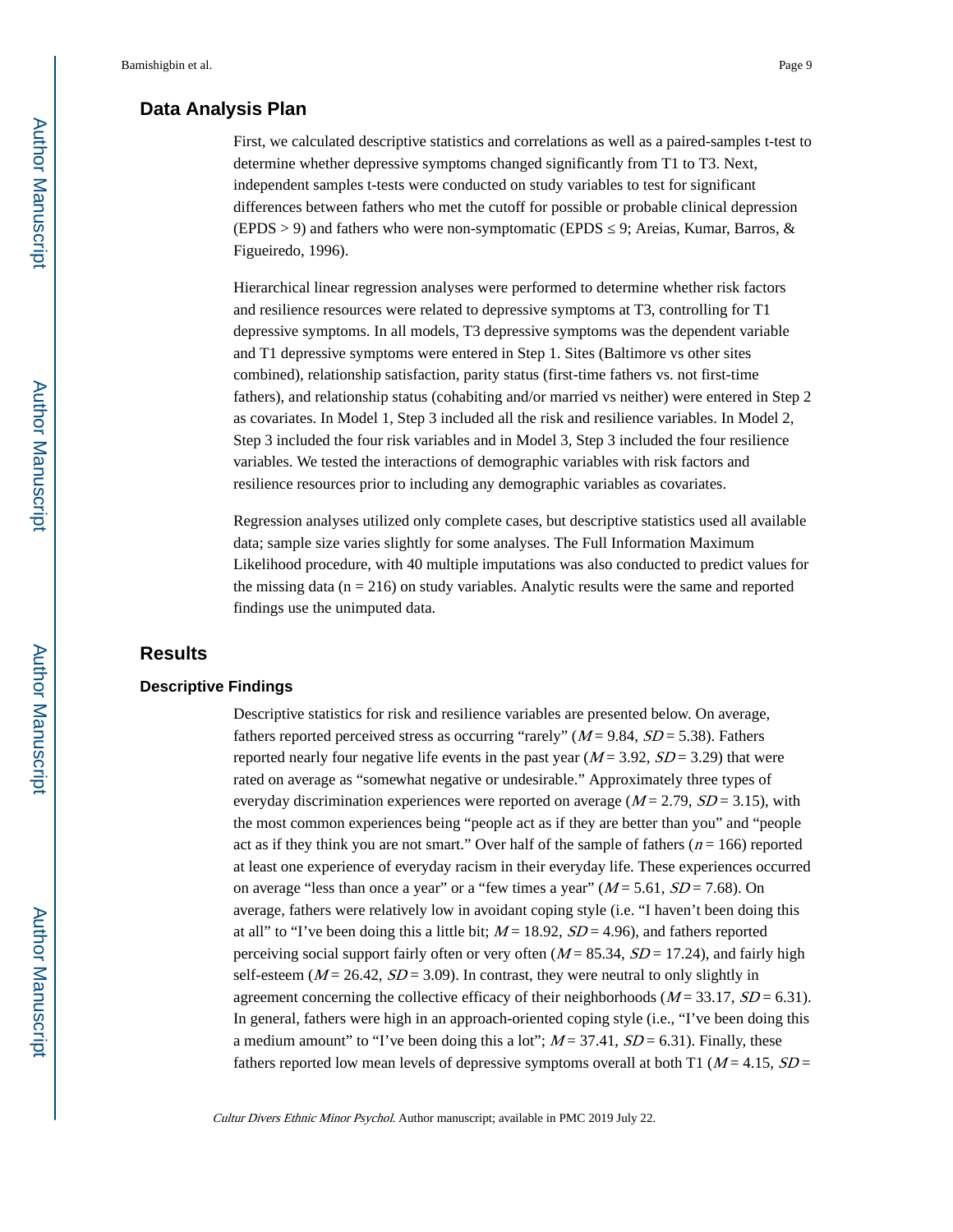# **Data Analysis Plan**

First, we calculated descriptive statistics and correlations as well as a paired-samples t-test to determine whether depressive symptoms changed significantly from T1 to T3. Next, independent samples t-tests were conducted on study variables to test for significant differences between fathers who met the cutoff for possible or probable clinical depression (EPDS > 9) and fathers who were non-symptomatic (EPDS  $\,$  9; Areias, Kumar, Barros, & Figueiredo, 1996).

Hierarchical linear regression analyses were performed to determine whether risk factors and resilience resources were related to depressive symptoms at T3, controlling for T1 depressive symptoms. In all models, T3 depressive symptoms was the dependent variable and T1 depressive symptoms were entered in Step 1. Sites (Baltimore vs other sites combined), relationship satisfaction, parity status (first-time fathers vs. not first-time fathers), and relationship status (cohabiting and/or married vs neither) were entered in Step 2 as covariates. In Model 1, Step 3 included all the risk and resilience variables. In Model 2, Step 3 included the four risk variables and in Model 3, Step 3 included the four resilience variables. We tested the interactions of demographic variables with risk factors and resilience resources prior to including any demographic variables as covariates.

Regression analyses utilized only complete cases, but descriptive statistics used all available data; sample size varies slightly for some analyses. The Full Information Maximum Likelihood procedure, with 40 multiple imputations was also conducted to predict values for the missing data ( $n = 216$ ) on study variables. Analytic results were the same and reported findings use the unimputed data.

# **Results**

## **Descriptive Findings**

Descriptive statistics for risk and resilience variables are presented below. On average, fathers reported perceived stress as occurring "rarely" ( $M = 9.84$ ,  $SD = 5.38$ ). Fathers reported nearly four negative life events in the past year ( $M = 3.92$ ,  $SD = 3.29$ ) that were rated on average as "somewhat negative or undesirable." Approximately three types of everyday discrimination experiences were reported on average ( $M = 2.79$ ,  $SD = 3.15$ ), with the most common experiences being "people act as if they are better than you" and "people act as if they think you are not smart." Over half of the sample of fathers  $(n = 166)$  reported at least one experience of everyday racism in their everyday life. These experiences occurred on average "less than once a year" or a "few times a year"  $(M = 5.61, SD = 7.68)$ . On average, fathers were relatively low in avoidant coping style (i.e. "I haven't been doing this at all" to "I've been doing this a little bit;  $M = 18.92$ ,  $SD = 4.96$ ), and fathers reported perceiving social support fairly often or very often  $(M = 85.34, SD = 17.24)$ , and fairly high self-esteem ( $M = 26.42$ ,  $SD = 3.09$ ). In contrast, they were neutral to only slightly in agreement concerning the collective efficacy of their neighborhoods ( $M = 33.17$ ,  $SD = 6.31$ ). In general, fathers were high in an approach-oriented coping style (i.e., "I've been doing this a medium amount" to "I've been doing this a lot";  $M = 37.41$ ,  $SD = 6.31$ ). Finally, these fathers reported low mean levels of depressive symptoms overall at both T1 ( $M = 4.15$ ,  $SD =$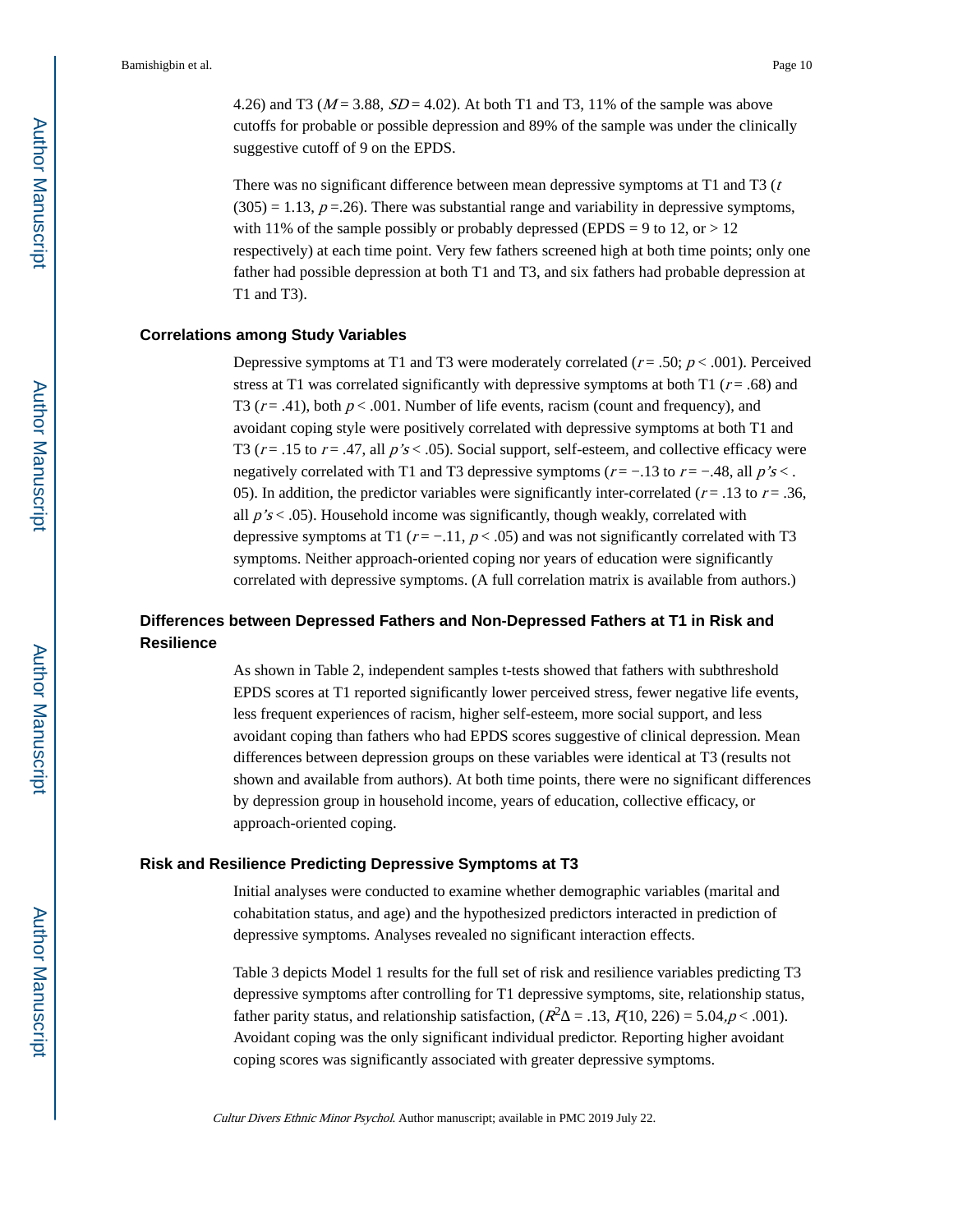4.26) and T3 ( $M = 3.88$ ,  $SD = 4.02$ ). At both T1 and T3, 11% of the sample was above cutoffs for probable or possible depression and 89% of the sample was under the clinically suggestive cutoff of 9 on the EPDS.

There was no significant difference between mean depressive symptoms at T1 and T3  $(t)$  $(305) = 1.13$ ,  $p = .26$ ). There was substantial range and variability in depressive symptoms, with 11% of the sample possibly or probably depressed (EPDS = 9 to 12, or  $> 12$ ) respectively) at each time point. Very few fathers screened high at both time points; only one father had possible depression at both T1 and T3, and six fathers had probable depression at T1 and T3).

## **Correlations among Study Variables**

Depressive symptoms at T1 and T3 were moderately correlated ( $r = .50$ ;  $p < .001$ ). Perceived stress at T1 was correlated significantly with depressive symptoms at both T1 ( $r = .68$ ) and T3 ( $r = .41$ ), both  $p < .001$ . Number of life events, racism (count and frequency), and avoidant coping style were positively correlated with depressive symptoms at both T1 and T3 ( $r = .15$  to  $r = .47$ , all  $p's < .05$ ). Social support, self-esteem, and collective efficacy were negatively correlated with T1 and T3 depressive symptoms ( $r = -13$  to  $r = -48$ , all  $p's <$ . 05). In addition, the predictor variables were significantly inter-correlated ( $r = .13$  to  $r = .36$ , all  $p's < .05$ ). Household income was significantly, though weakly, correlated with depressive symptoms at T1 ( $r = -11$ ,  $p < .05$ ) and was not significantly correlated with T3 symptoms. Neither approach-oriented coping nor years of education were significantly correlated with depressive symptoms. (A full correlation matrix is available from authors.)

# **Differences between Depressed Fathers and Non-Depressed Fathers at T1 in Risk and Resilience**

As shown in Table 2, independent samples t-tests showed that fathers with subthreshold EPDS scores at T1 reported significantly lower perceived stress, fewer negative life events, less frequent experiences of racism, higher self-esteem, more social support, and less avoidant coping than fathers who had EPDS scores suggestive of clinical depression. Mean differences between depression groups on these variables were identical at T3 (results not shown and available from authors). At both time points, there were no significant differences by depression group in household income, years of education, collective efficacy, or approach-oriented coping.

#### **Risk and Resilience Predicting Depressive Symptoms at T3**

Initial analyses were conducted to examine whether demographic variables (marital and cohabitation status, and age) and the hypothesized predictors interacted in prediction of depressive symptoms. Analyses revealed no significant interaction effects.

Table 3 depicts Model 1 results for the full set of risk and resilience variables predicting T3 depressive symptoms after controlling for T1 depressive symptoms, site, relationship status, father parity status, and relationship satisfaction,  $(R^2 = .13, F(10, 226) = 5.04, p < .001)$ . Avoidant coping was the only significant individual predictor. Reporting higher avoidant coping scores was significantly associated with greater depressive symptoms.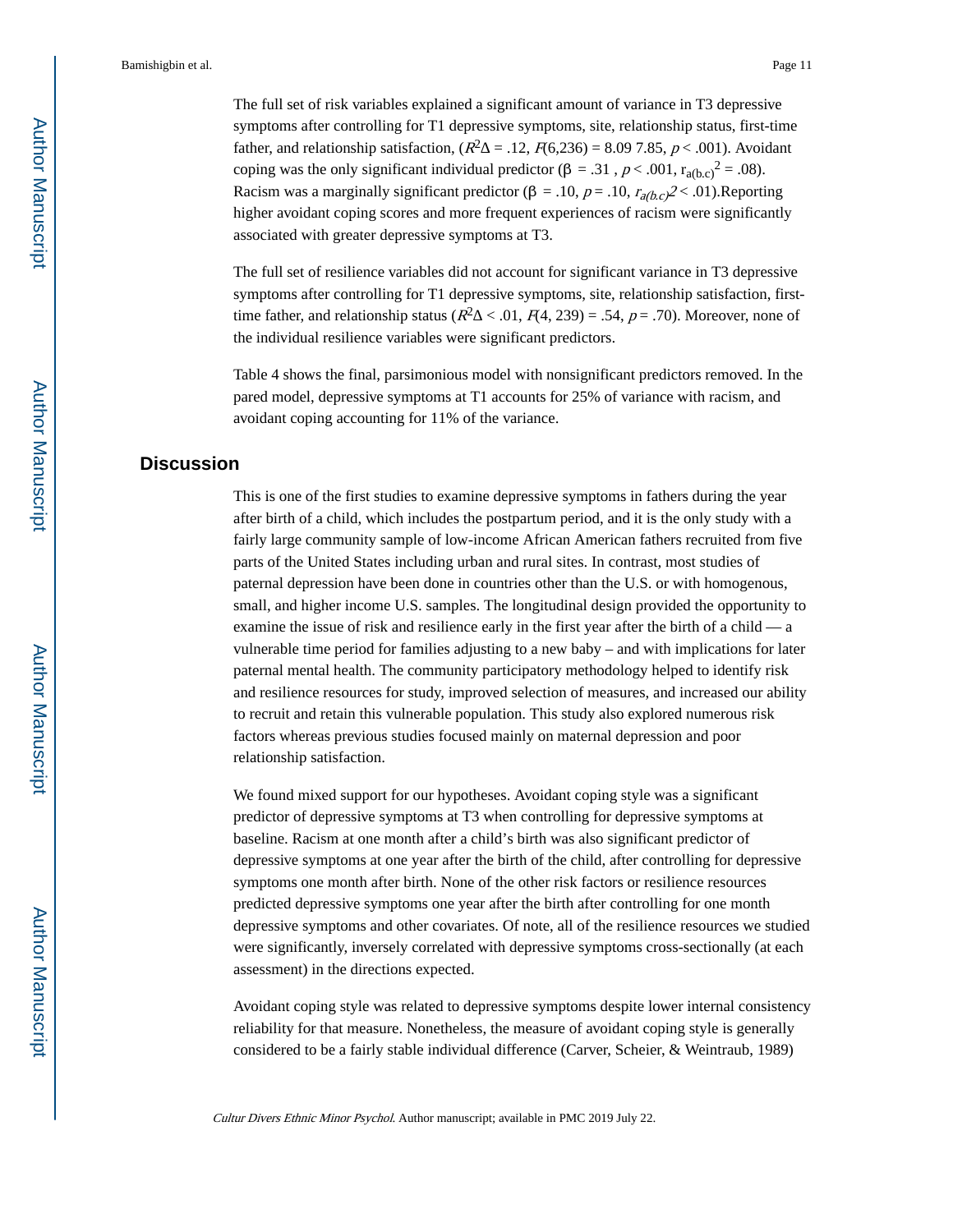The full set of risk variables explained a significant amount of variance in T3 depressive symptoms after controlling for T1 depressive symptoms, site, relationship status, first-time father, and relationship satisfaction,  $(R^2 = .12, R(6,236) = 8.09, 7.85, p < .001)$ . Avoidant coping was the only significant individual predictor (β = .31,  $p < .001$ ,  $r_{a(b,c)}^2 = .08$ ). Racism was a marginally significant predictor ( $\beta = .10$ ,  $p = .10$ ,  $r_{a(b,c)} \ge .01$ ). Reporting higher avoidant coping scores and more frequent experiences of racism were significantly associated with greater depressive symptoms at T3.

The full set of resilience variables did not account for significant variance in T3 depressive symptoms after controlling for T1 depressive symptoms, site, relationship satisfaction, firsttime father, and relationship status ( $R^2 \le 0.01$ ,  $F(4, 239) = 0.54$ ,  $p = 0.70$ ). Moreover, none of the individual resilience variables were significant predictors.

Table 4 shows the final, parsimonious model with nonsignificant predictors removed. In the pared model, depressive symptoms at T1 accounts for 25% of variance with racism, and avoidant coping accounting for 11% of the variance.

# **Discussion**

This is one of the first studies to examine depressive symptoms in fathers during the year after birth of a child, which includes the postpartum period, and it is the only study with a fairly large community sample of low-income African American fathers recruited from five parts of the United States including urban and rural sites. In contrast, most studies of paternal depression have been done in countries other than the U.S. or with homogenous, small, and higher income U.S. samples. The longitudinal design provided the opportunity to examine the issue of risk and resilience early in the first year after the birth of a child — a vulnerable time period for families adjusting to a new baby – and with implications for later paternal mental health. The community participatory methodology helped to identify risk and resilience resources for study, improved selection of measures, and increased our ability to recruit and retain this vulnerable population. This study also explored numerous risk factors whereas previous studies focused mainly on maternal depression and poor relationship satisfaction.

We found mixed support for our hypotheses. Avoidant coping style was a significant predictor of depressive symptoms at T3 when controlling for depressive symptoms at baseline. Racism at one month after a child's birth was also significant predictor of depressive symptoms at one year after the birth of the child, after controlling for depressive symptoms one month after birth. None of the other risk factors or resilience resources predicted depressive symptoms one year after the birth after controlling for one month depressive symptoms and other covariates. Of note, all of the resilience resources we studied were significantly, inversely correlated with depressive symptoms cross-sectionally (at each assessment) in the directions expected.

Avoidant coping style was related to depressive symptoms despite lower internal consistency reliability for that measure. Nonetheless, the measure of avoidant coping style is generally considered to be a fairly stable individual difference (Carver, Scheier, & Weintraub, 1989)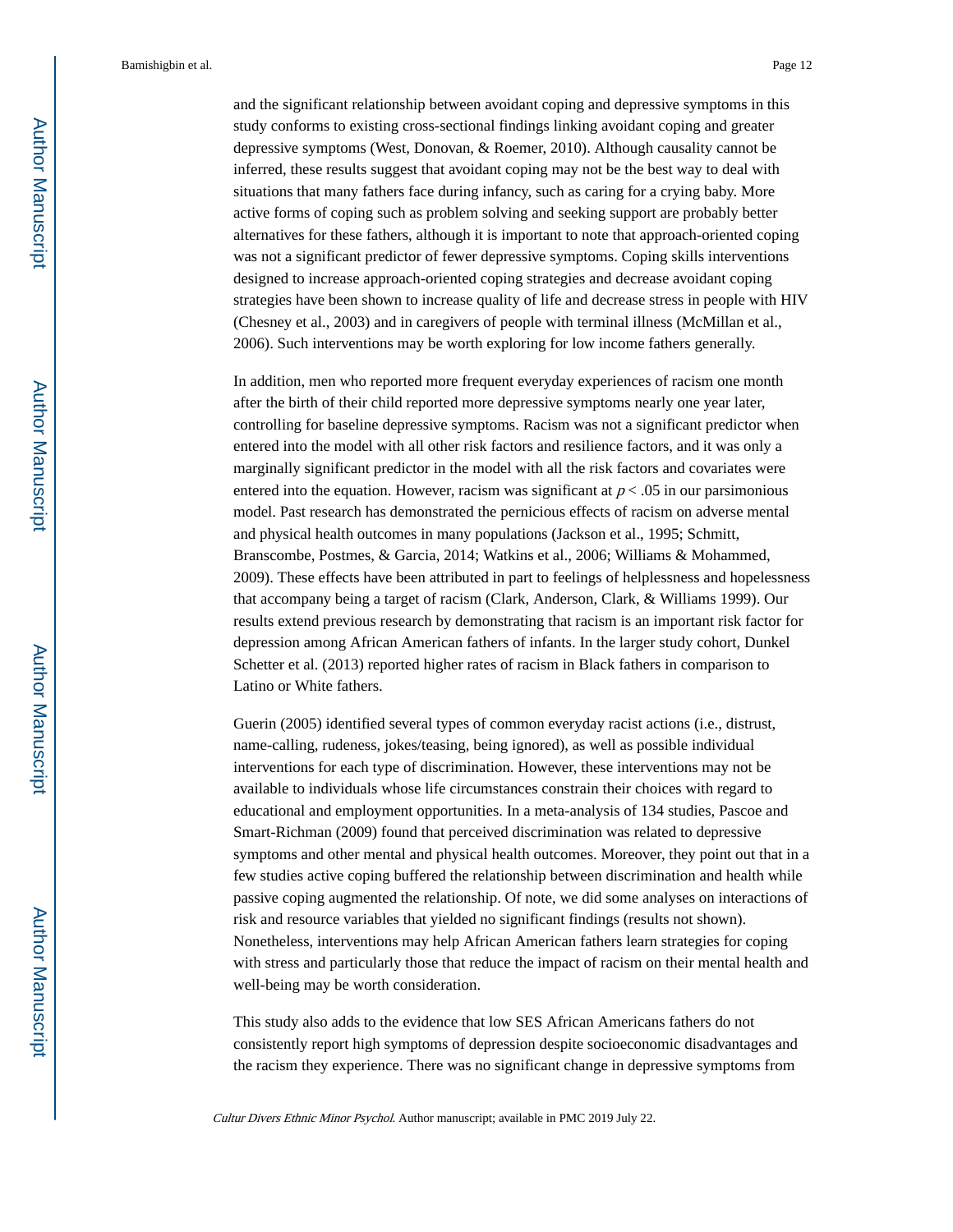and the significant relationship between avoidant coping and depressive symptoms in this study conforms to existing cross-sectional findings linking avoidant coping and greater depressive symptoms (West, Donovan, & Roemer, 2010). Although causality cannot be inferred, these results suggest that avoidant coping may not be the best way to deal with situations that many fathers face during infancy, such as caring for a crying baby. More active forms of coping such as problem solving and seeking support are probably better alternatives for these fathers, although it is important to note that approach-oriented coping was not a significant predictor of fewer depressive symptoms. Coping skills interventions designed to increase approach-oriented coping strategies and decrease avoidant coping strategies have been shown to increase quality of life and decrease stress in people with HIV (Chesney et al., 2003) and in caregivers of people with terminal illness (McMillan et al., 2006). Such interventions may be worth exploring for low income fathers generally.

In addition, men who reported more frequent everyday experiences of racism one month after the birth of their child reported more depressive symptoms nearly one year later, controlling for baseline depressive symptoms. Racism was not a significant predictor when entered into the model with all other risk factors and resilience factors, and it was only a marginally significant predictor in the model with all the risk factors and covariates were entered into the equation. However, racism was significant at  $p < .05$  in our parsimonious model. Past research has demonstrated the pernicious effects of racism on adverse mental and physical health outcomes in many populations (Jackson et al., 1995; Schmitt, Branscombe, Postmes, & Garcia, 2014; Watkins et al., 2006; Williams & Mohammed, 2009). These effects have been attributed in part to feelings of helplessness and hopelessness that accompany being a target of racism (Clark, Anderson, Clark, & Williams 1999). Our results extend previous research by demonstrating that racism is an important risk factor for depression among African American fathers of infants. In the larger study cohort, Dunkel Schetter et al. (2013) reported higher rates of racism in Black fathers in comparison to Latino or White fathers.

Guerin (2005) identified several types of common everyday racist actions (i.e., distrust, name-calling, rudeness, jokes/teasing, being ignored), as well as possible individual interventions for each type of discrimination. However, these interventions may not be available to individuals whose life circumstances constrain their choices with regard to educational and employment opportunities. In a meta-analysis of 134 studies, Pascoe and Smart-Richman (2009) found that perceived discrimination was related to depressive symptoms and other mental and physical health outcomes. Moreover, they point out that in a few studies active coping buffered the relationship between discrimination and health while passive coping augmented the relationship. Of note, we did some analyses on interactions of risk and resource variables that yielded no significant findings (results not shown). Nonetheless, interventions may help African American fathers learn strategies for coping with stress and particularly those that reduce the impact of racism on their mental health and well-being may be worth consideration.

This study also adds to the evidence that low SES African Americans fathers do not consistently report high symptoms of depression despite socioeconomic disadvantages and the racism they experience. There was no significant change in depressive symptoms from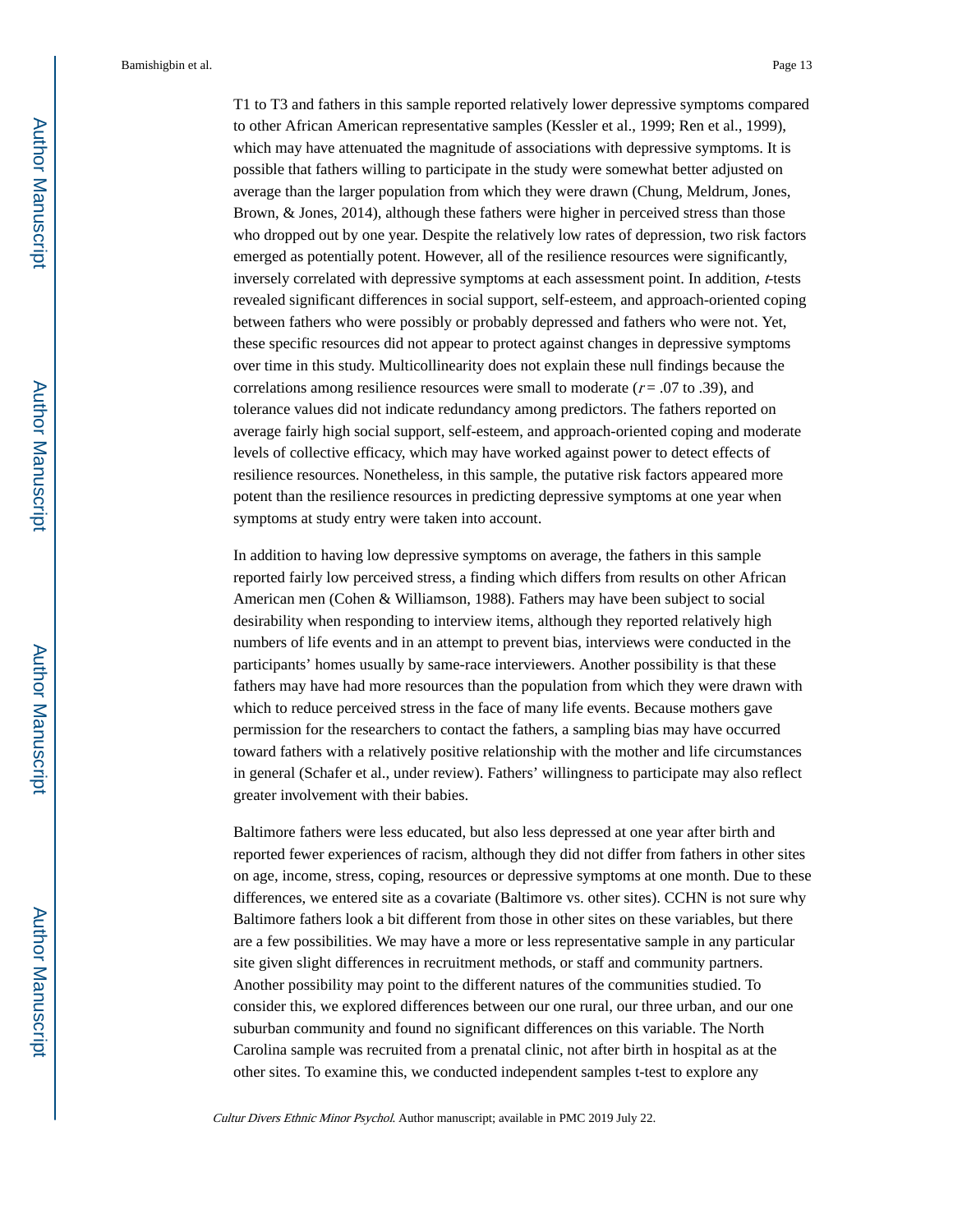T1 to T3 and fathers in this sample reported relatively lower depressive symptoms compared to other African American representative samples (Kessler et al., 1999; Ren et al., 1999), which may have attenuated the magnitude of associations with depressive symptoms. It is possible that fathers willing to participate in the study were somewhat better adjusted on average than the larger population from which they were drawn (Chung, Meldrum, Jones, Brown, & Jones, 2014), although these fathers were higher in perceived stress than those who dropped out by one year. Despite the relatively low rates of depression, two risk factors emerged as potentially potent. However, all of the resilience resources were significantly, inversely correlated with depressive symptoms at each assessment point. In addition, t-tests revealed significant differences in social support, self-esteem, and approach-oriented coping between fathers who were possibly or probably depressed and fathers who were not. Yet, these specific resources did not appear to protect against changes in depressive symptoms over time in this study. Multicollinearity does not explain these null findings because the correlations among resilience resources were small to moderate  $(r = .07$  to .39), and tolerance values did not indicate redundancy among predictors. The fathers reported on average fairly high social support, self-esteem, and approach-oriented coping and moderate levels of collective efficacy, which may have worked against power to detect effects of resilience resources. Nonetheless, in this sample, the putative risk factors appeared more potent than the resilience resources in predicting depressive symptoms at one year when symptoms at study entry were taken into account.

In addition to having low depressive symptoms on average, the fathers in this sample reported fairly low perceived stress, a finding which differs from results on other African American men (Cohen & Williamson, 1988). Fathers may have been subject to social desirability when responding to interview items, although they reported relatively high numbers of life events and in an attempt to prevent bias, interviews were conducted in the participants' homes usually by same-race interviewers. Another possibility is that these fathers may have had more resources than the population from which they were drawn with which to reduce perceived stress in the face of many life events. Because mothers gave permission for the researchers to contact the fathers, a sampling bias may have occurred toward fathers with a relatively positive relationship with the mother and life circumstances in general (Schafer et al., under review). Fathers' willingness to participate may also reflect greater involvement with their babies.

Baltimore fathers were less educated, but also less depressed at one year after birth and reported fewer experiences of racism, although they did not differ from fathers in other sites on age, income, stress, coping, resources or depressive symptoms at one month. Due to these differences, we entered site as a covariate (Baltimore vs. other sites). CCHN is not sure why Baltimore fathers look a bit different from those in other sites on these variables, but there are a few possibilities. We may have a more or less representative sample in any particular site given slight differences in recruitment methods, or staff and community partners. Another possibility may point to the different natures of the communities studied. To consider this, we explored differences between our one rural, our three urban, and our one suburban community and found no significant differences on this variable. The North Carolina sample was recruited from a prenatal clinic, not after birth in hospital as at the other sites. To examine this, we conducted independent samples t-test to explore any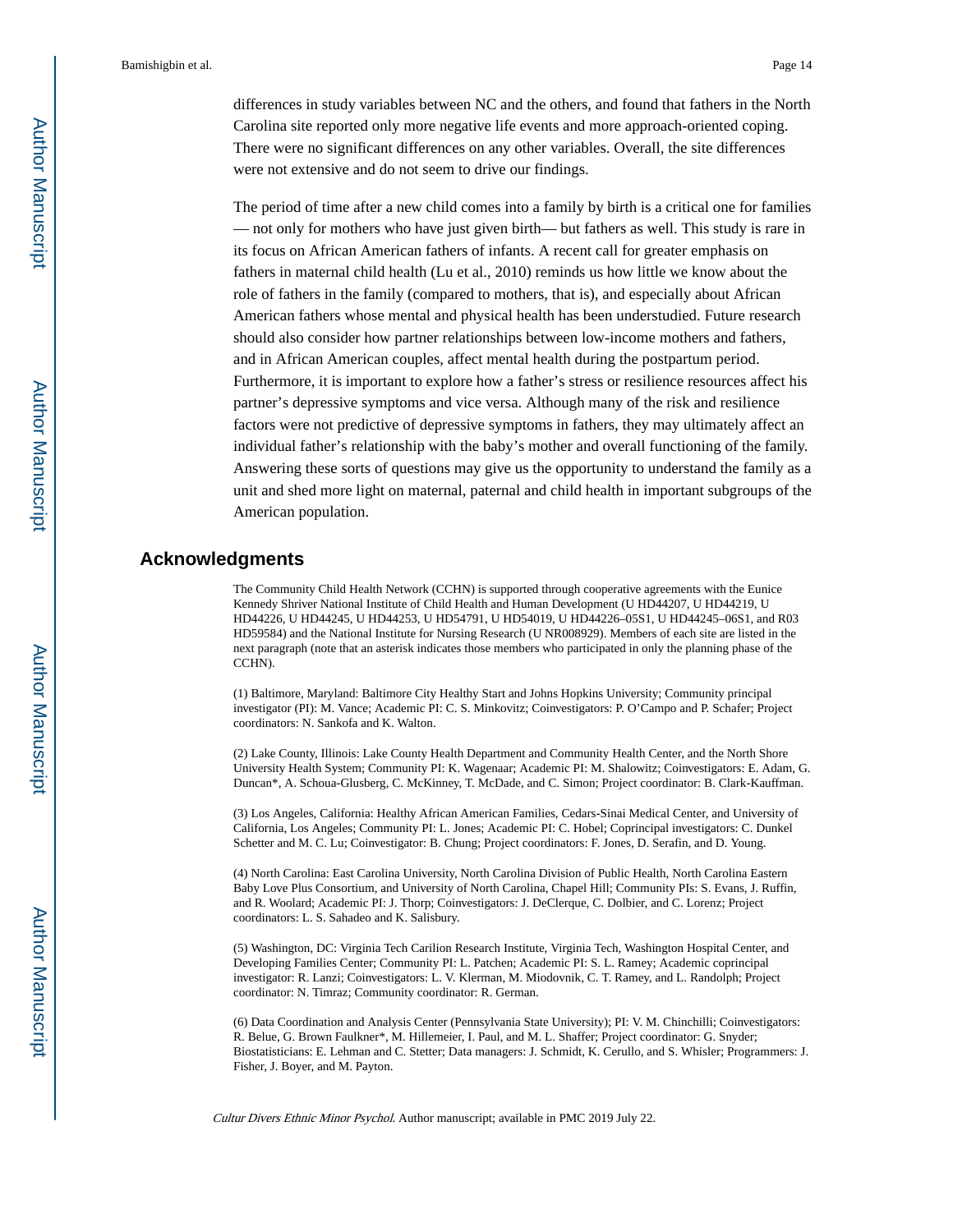differences in study variables between NC and the others, and found that fathers in the North Carolina site reported only more negative life events and more approach-oriented coping. There were no significant differences on any other variables. Overall, the site differences were not extensive and do not seem to drive our findings.

The period of time after a new child comes into a family by birth is a critical one for families — not only for mothers who have just given birth— but fathers as well. This study is rare in its focus on African American fathers of infants. A recent call for greater emphasis on fathers in maternal child health (Lu et al., 2010) reminds us how little we know about the role of fathers in the family (compared to mothers, that is), and especially about African American fathers whose mental and physical health has been understudied. Future research should also consider how partner relationships between low-income mothers and fathers, and in African American couples, affect mental health during the postpartum period. Furthermore, it is important to explore how a father's stress or resilience resources affect his partner's depressive symptoms and vice versa. Although many of the risk and resilience factors were not predictive of depressive symptoms in fathers, they may ultimately affect an individual father's relationship with the baby's mother and overall functioning of the family. Answering these sorts of questions may give us the opportunity to understand the family as a unit and shed more light on maternal, paternal and child health in important subgroups of the American population.

# **Acknowledgments**

The Community Child Health Network (CCHN) is supported through cooperative agreements with the Eunice Kennedy Shriver National Institute of Child Health and Human Development (U HD44207, U HD44219, U HD44226, U HD44245, U HD44253, U HD54791, U HD54019, U HD44226–05S1, U HD44245–06S1, and R03 HD59584) and the National Institute for Nursing Research (U NR008929). Members of each site are listed in the next paragraph (note that an asterisk indicates those members who participated in only the planning phase of the CCHN).

(1) Baltimore, Maryland: Baltimore City Healthy Start and Johns Hopkins University; Community principal investigator (PI): M. Vance; Academic PI: C. S. Minkovitz; Coinvestigators: P. O'Campo and P. Schafer; Project coordinators: N. Sankofa and K. Walton.

(2) Lake County, Illinois: Lake County Health Department and Community Health Center, and the North Shore University Health System; Community PI: K. Wagenaar; Academic PI: M. Shalowitz; Coinvestigators: E. Adam, G. Duncan\*, A. Schoua-Glusberg, C. McKinney, T. McDade, and C. Simon; Project coordinator: B. Clark-Kauffman.

(3) Los Angeles, California: Healthy African American Families, Cedars-Sinai Medical Center, and University of California, Los Angeles; Community PI: L. Jones; Academic PI: C. Hobel; Coprincipal investigators: C. Dunkel Schetter and M. C. Lu; Coinvestigator: B. Chung; Project coordinators: F. Jones, D. Serafin, and D. Young.

(4) North Carolina: East Carolina University, North Carolina Division of Public Health, North Carolina Eastern Baby Love Plus Consortium, and University of North Carolina, Chapel Hill; Community PIs: S. Evans, J. Ruffin, and R. Woolard; Academic PI: J. Thorp; Coinvestigators: J. DeClerque, C. Dolbier, and C. Lorenz; Project coordinators: L. S. Sahadeo and K. Salisbury.

(5) Washington, DC: Virginia Tech Carilion Research Institute, Virginia Tech, Washington Hospital Center, and Developing Families Center; Community PI: L. Patchen; Academic PI: S. L. Ramey; Academic coprincipal investigator: R. Lanzi; Coinvestigators: L. V. Klerman, M. Miodovnik, C. T. Ramey, and L. Randolph; Project coordinator: N. Timraz; Community coordinator: R. German.

(6) Data Coordination and Analysis Center (Pennsylvania State University); PI: V. M. Chinchilli; Coinvestigators: R. Belue, G. Brown Faulkner\*, M. Hillemeier, I. Paul, and M. L. Shaffer; Project coordinator: G. Snyder; Biostatisticians: E. Lehman and C. Stetter; Data managers: J. Schmidt, K. Cerullo, and S. Whisler; Programmers: J. Fisher, J. Boyer, and M. Payton.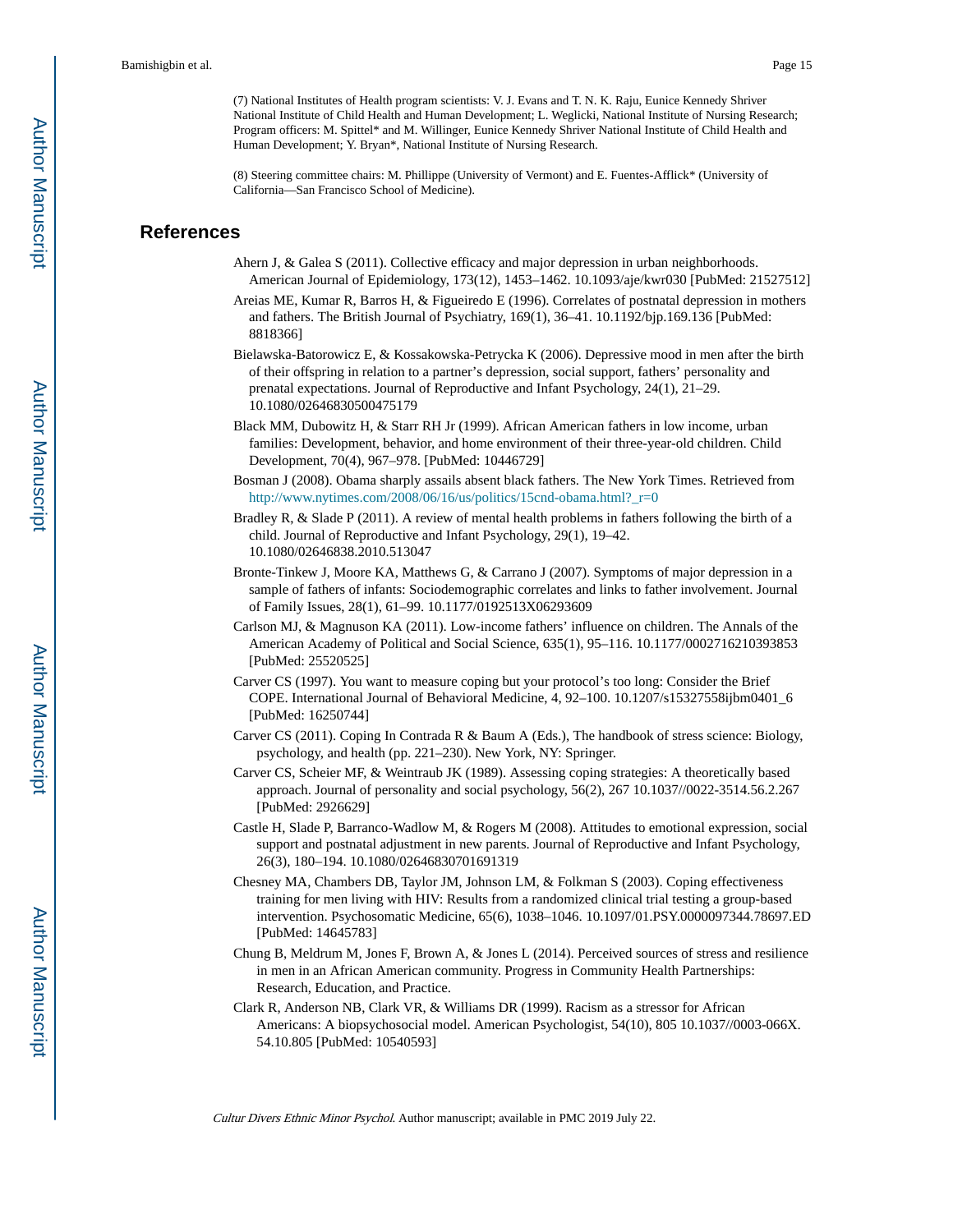(7) National Institutes of Health program scientists: V. J. Evans and T. N. K. Raju, Eunice Kennedy Shriver National Institute of Child Health and Human Development; L. Weglicki, National Institute of Nursing Research; Program officers: M. Spittel\* and M. Willinger, Eunice Kennedy Shriver National Institute of Child Health and Human Development; Y. Bryan\*, National Institute of Nursing Research.

(8) Steering committee chairs: M. Phillippe (University of Vermont) and E. Fuentes-Afflick\* (University of California—San Francisco School of Medicine).

# **References**

- Ahern J, & Galea S (2011). Collective efficacy and major depression in urban neighborhoods. American Journal of Epidemiology, 173(12), 1453–1462. 10.1093/aje/kwr030 [PubMed: 21527512]
- Areias ME, Kumar R, Barros H, & Figueiredo E (1996). Correlates of postnatal depression in mothers and fathers. The British Journal of Psychiatry, 169(1), 36–41. 10.1192/bjp.169.136 [PubMed: 8818366]
- Bielawska-Batorowicz E, & Kossakowska-Petrycka K (2006). Depressive mood in men after the birth of their offspring in relation to a partner's depression, social support, fathers' personality and prenatal expectations. Journal of Reproductive and Infant Psychology, 24(1), 21–29. 10.1080/02646830500475179
- Black MM, Dubowitz H, & Starr RH Jr (1999). African American fathers in low income, urban families: Development, behavior, and home environment of their three-year-old children. Child Development, 70(4), 967–978. [PubMed: 10446729]
- Bosman J (2008). Obama sharply assails absent black fathers. The New York Times. Retrieved from [http://www.nytimes.com/2008/06/16/us/politics/15cnd-obama.html?\\_r=0](http://www.nytimes.com/2008/06/16/us/politics/15cnd-obama.html?_r=0)
- Bradley R, & Slade P (2011). A review of mental health problems in fathers following the birth of a child. Journal of Reproductive and Infant Psychology, 29(1), 19–42. 10.1080/02646838.2010.513047
- Bronte-Tinkew J, Moore KA, Matthews G, & Carrano J (2007). Symptoms of major depression in a sample of fathers of infants: Sociodemographic correlates and links to father involvement. Journal of Family Issues, 28(1), 61–99. 10.1177/0192513X06293609
- Carlson MJ, & Magnuson KA (2011). Low-income fathers' influence on children. The Annals of the American Academy of Political and Social Science, 635(1), 95–116. 10.1177/0002716210393853 [PubMed: 25520525]
- Carver CS (1997). You want to measure coping but your protocol's too long: Consider the Brief COPE. International Journal of Behavioral Medicine, 4, 92–100. 10.1207/s15327558ijbm0401\_6 [PubMed: 16250744]
- Carver CS (2011). Coping In Contrada R & Baum A (Eds.), The handbook of stress science: Biology, psychology, and health (pp. 221–230). New York, NY: Springer.
- Carver CS, Scheier MF, & Weintraub JK (1989). Assessing coping strategies: A theoretically based approach. Journal of personality and social psychology, 56(2), 267 10.1037//0022-3514.56.2.267 [PubMed: 2926629]
- Castle H, Slade P, Barranco-Wadlow M, & Rogers M (2008). Attitudes to emotional expression, social support and postnatal adjustment in new parents. Journal of Reproductive and Infant Psychology, 26(3), 180–194. 10.1080/02646830701691319
- Chesney MA, Chambers DB, Taylor JM, Johnson LM, & Folkman S (2003). Coping effectiveness training for men living with HIV: Results from a randomized clinical trial testing a group-based intervention. Psychosomatic Medicine, 65(6), 1038–1046. 10.1097/01.PSY.0000097344.78697.ED [PubMed: 14645783]
- Chung B, Meldrum M, Jones F, Brown A, & Jones L (2014). Perceived sources of stress and resilience in men in an African American community. Progress in Community Health Partnerships: Research, Education, and Practice.
- Clark R, Anderson NB, Clark VR, & Williams DR (1999). Racism as a stressor for African Americans: A biopsychosocial model. American Psychologist, 54(10), 805 10.1037//0003-066X. 54.10.805 [PubMed: 10540593]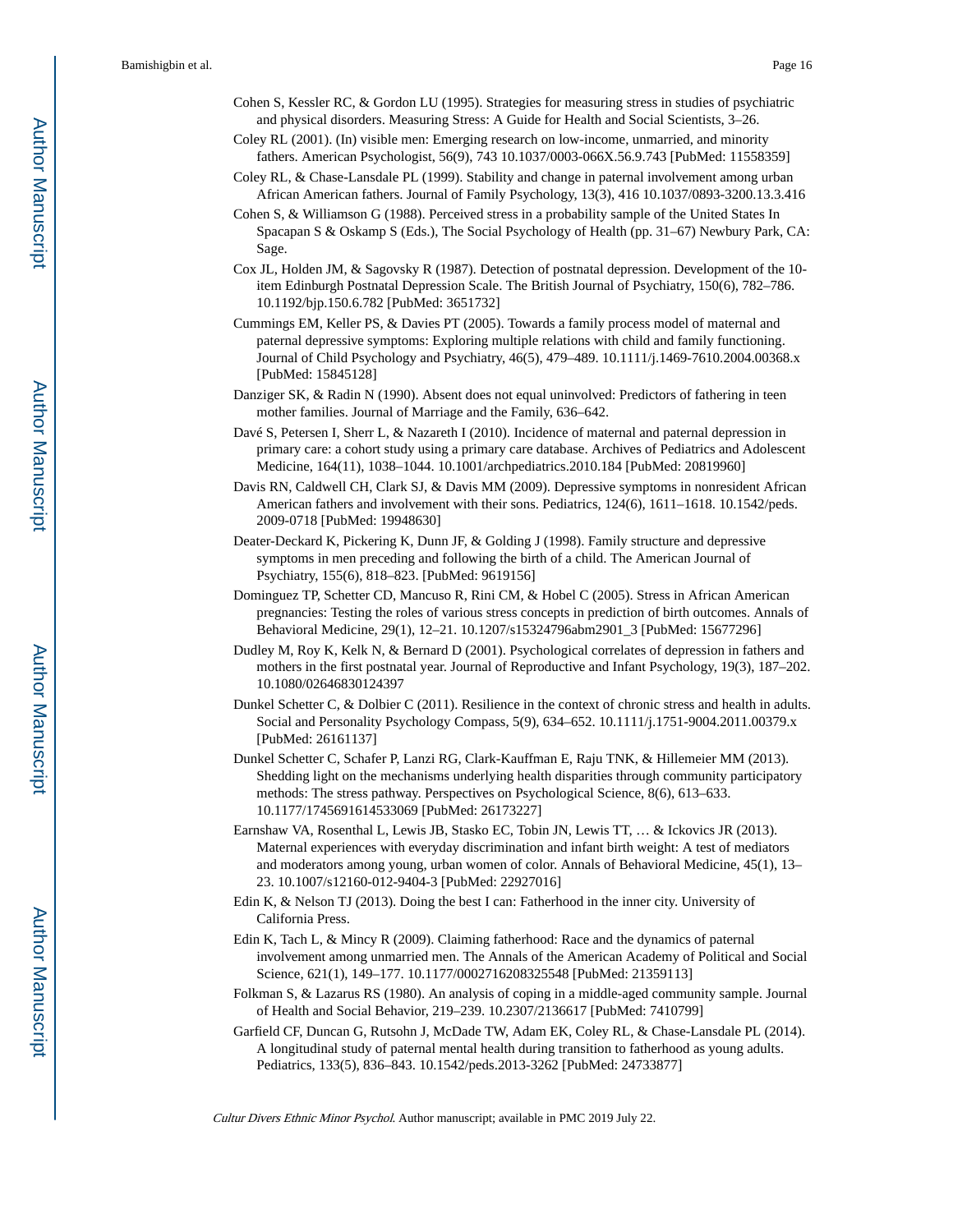- Cohen S, Kessler RC, & Gordon LU (1995). Strategies for measuring stress in studies of psychiatric and physical disorders. Measuring Stress: A Guide for Health and Social Scientists, 3–26.
- Coley RL (2001). (In) visible men: Emerging research on low-income, unmarried, and minority fathers. American Psychologist, 56(9), 743 10.1037/0003-066X.56.9.743 [PubMed: 11558359]
- Coley RL, & Chase-Lansdale PL (1999). Stability and change in paternal involvement among urban African American fathers. Journal of Family Psychology, 13(3), 416 10.1037/0893-3200.13.3.416
- Cohen S, & Williamson G (1988). Perceived stress in a probability sample of the United States In Spacapan S & Oskamp S (Eds.), The Social Psychology of Health (pp. 31–67) Newbury Park, CA: Sage.
- Cox JL, Holden JM, & Sagovsky R (1987). Detection of postnatal depression. Development of the 10 item Edinburgh Postnatal Depression Scale. The British Journal of Psychiatry, 150(6), 782–786. 10.1192/bjp.150.6.782 [PubMed: 3651732]
- Cummings EM, Keller PS, & Davies PT (2005). Towards a family process model of maternal and paternal depressive symptoms: Exploring multiple relations with child and family functioning. Journal of Child Psychology and Psychiatry, 46(5), 479–489. 10.1111/j.1469-7610.2004.00368.x [PubMed: 15845128]
- Danziger SK, & Radin N (1990). Absent does not equal uninvolved: Predictors of fathering in teen mother families. Journal of Marriage and the Family, 636–642.
- Davé S, Petersen I, Sherr L, & Nazareth I (2010). Incidence of maternal and paternal depression in primary care: a cohort study using a primary care database. Archives of Pediatrics and Adolescent Medicine, 164(11), 1038–1044. 10.1001/archpediatrics.2010.184 [PubMed: 20819960]
- Davis RN, Caldwell CH, Clark SJ, & Davis MM (2009). Depressive symptoms in nonresident African American fathers and involvement with their sons. Pediatrics, 124(6), 1611–1618. 10.1542/peds. 2009-0718 [PubMed: 19948630]
- Deater-Deckard K, Pickering K, Dunn JF, & Golding J (1998). Family structure and depressive symptoms in men preceding and following the birth of a child. The American Journal of Psychiatry, 155(6), 818–823. [PubMed: 9619156]
- Dominguez TP, Schetter CD, Mancuso R, Rini CM, & Hobel C (2005). Stress in African American pregnancies: Testing the roles of various stress concepts in prediction of birth outcomes. Annals of Behavioral Medicine, 29(1), 12–21. 10.1207/s15324796abm2901\_3 [PubMed: 15677296]
- Dudley M, Roy K, Kelk N, & Bernard D (2001). Psychological correlates of depression in fathers and mothers in the first postnatal year. Journal of Reproductive and Infant Psychology, 19(3), 187–202. 10.1080/02646830124397
- Dunkel Schetter C, & Dolbier C (2011). Resilience in the context of chronic stress and health in adults. Social and Personality Psychology Compass, 5(9), 634–652. 10.1111/j.1751-9004.2011.00379.x [PubMed: 26161137]
- Dunkel Schetter C, Schafer P, Lanzi RG, Clark-Kauffman E, Raju TNK, & Hillemeier MM (2013). Shedding light on the mechanisms underlying health disparities through community participatory methods: The stress pathway. Perspectives on Psychological Science, 8(6), 613–633. 10.1177/1745691614533069 [PubMed: 26173227]
- Earnshaw VA, Rosenthal L, Lewis JB, Stasko EC, Tobin JN, Lewis TT, … & Ickovics JR (2013). Maternal experiences with everyday discrimination and infant birth weight: A test of mediators and moderators among young, urban women of color. Annals of Behavioral Medicine, 45(1), 13– 23. 10.1007/s12160-012-9404-3 [PubMed: 22927016]
- Edin K, & Nelson TJ (2013). Doing the best I can: Fatherhood in the inner city. University of California Press.
- Edin K, Tach L, & Mincy R (2009). Claiming fatherhood: Race and the dynamics of paternal involvement among unmarried men. The Annals of the American Academy of Political and Social Science, 621(1), 149–177. 10.1177/0002716208325548 [PubMed: 21359113]
- Folkman S, & Lazarus RS (1980). An analysis of coping in a middle-aged community sample. Journal of Health and Social Behavior, 219–239. 10.2307/2136617 [PubMed: 7410799]
- Garfield CF, Duncan G, Rutsohn J, McDade TW, Adam EK, Coley RL, & Chase-Lansdale PL (2014). A longitudinal study of paternal mental health during transition to fatherhood as young adults. Pediatrics, 133(5), 836–843. 10.1542/peds.2013-3262 [PubMed: 24733877]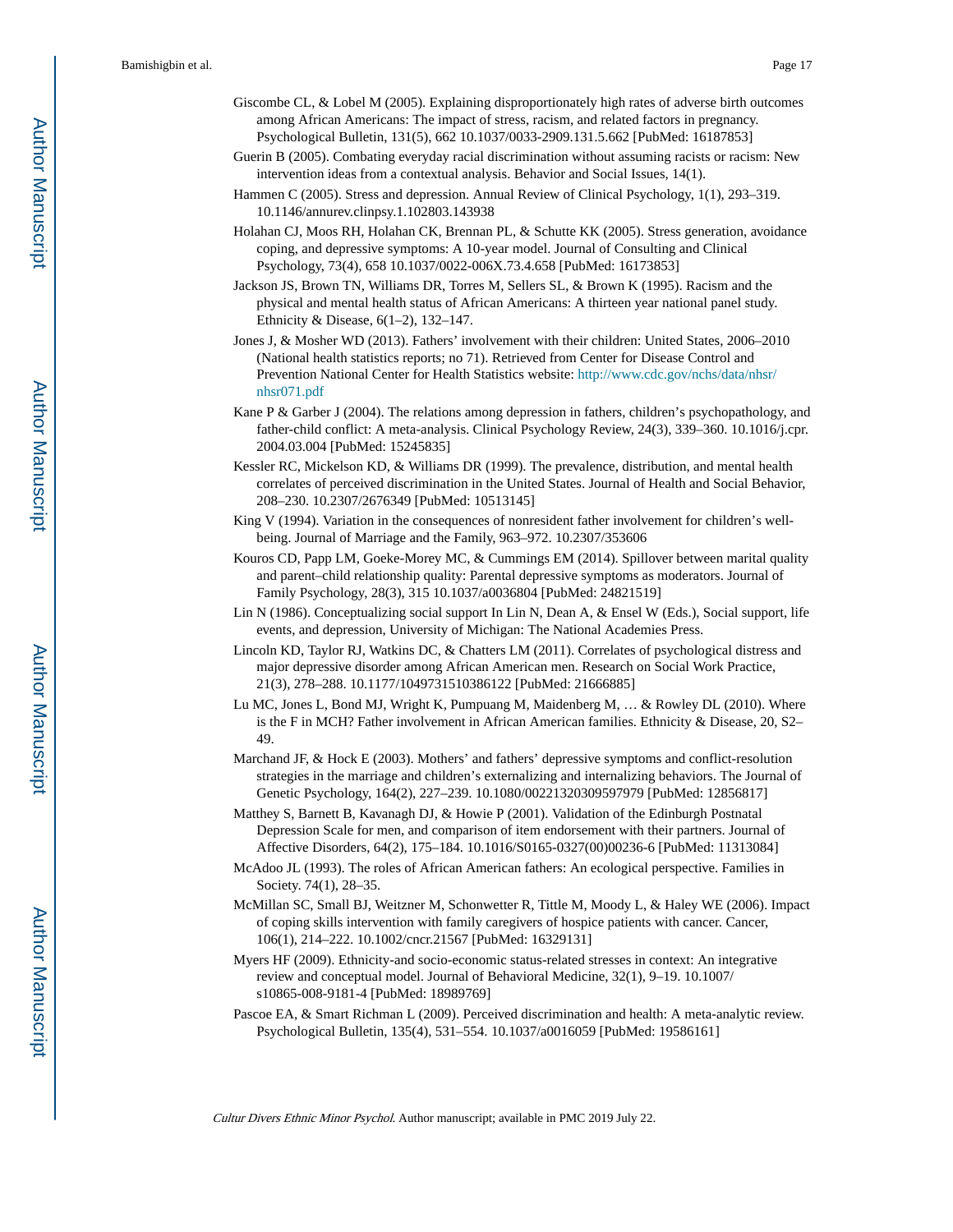- Giscombe CL, & Lobel M (2005). Explaining disproportionately high rates of adverse birth outcomes among African Americans: The impact of stress, racism, and related factors in pregnancy. Psychological Bulletin, 131(5), 662 10.1037/0033-2909.131.5.662 [PubMed: 16187853]
- Guerin B (2005). Combating everyday racial discrimination without assuming racists or racism: New intervention ideas from a contextual analysis. Behavior and Social Issues, 14(1).
- Hammen C (2005). Stress and depression. Annual Review of Clinical Psychology, 1(1), 293–319. 10.1146/annurev.clinpsy.1.102803.143938
- Holahan CJ, Moos RH, Holahan CK, Brennan PL, & Schutte KK (2005). Stress generation, avoidance coping, and depressive symptoms: A 10-year model. Journal of Consulting and Clinical Psychology, 73(4), 658 10.1037/0022-006X.73.4.658 [PubMed: 16173853]
- Jackson JS, Brown TN, Williams DR, Torres M, Sellers SL, & Brown K (1995). Racism and the physical and mental health status of African Americans: A thirteen year national panel study. Ethnicity & Disease, 6(1–2), 132–147.
- Jones J, & Mosher WD (2013). Fathers' involvement with their children: United States, 2006–2010 (National health statistics reports; no 71). Retrieved from Center for Disease Control and Prevention National Center for Health Statistics website: [http://www.cdc.gov/nchs/data/nhsr/](http://www.cdc.gov/nchs/data/nhsr/nhsr071.pdf) [nhsr071.pdf](http://www.cdc.gov/nchs/data/nhsr/nhsr071.pdf)
- Kane P & Garber J (2004). The relations among depression in fathers, children's psychopathology, and father-child conflict: A meta-analysis. Clinical Psychology Review, 24(3), 339–360. 10.1016/j.cpr. 2004.03.004 [PubMed: 15245835]
- Kessler RC, Mickelson KD, & Williams DR (1999). The prevalence, distribution, and mental health correlates of perceived discrimination in the United States. Journal of Health and Social Behavior, 208–230. 10.2307/2676349 [PubMed: 10513145]
- King V (1994). Variation in the consequences of nonresident father involvement for children's wellbeing. Journal of Marriage and the Family, 963–972. 10.2307/353606
- Kouros CD, Papp LM, Goeke-Morey MC, & Cummings EM (2014). Spillover between marital quality and parent–child relationship quality: Parental depressive symptoms as moderators. Journal of Family Psychology, 28(3), 315 10.1037/a0036804 [PubMed: 24821519]
- Lin N (1986). Conceptualizing social support In Lin N, Dean A, & Ensel W (Eds.), Social support, life events, and depression, University of Michigan: The National Academies Press.
- Lincoln KD, Taylor RJ, Watkins DC, & Chatters LM (2011). Correlates of psychological distress and major depressive disorder among African American men. Research on Social Work Practice, 21(3), 278–288. 10.1177/1049731510386122 [PubMed: 21666885]
- Lu MC, Jones L, Bond MJ, Wright K, Pumpuang M, Maidenberg M, … & Rowley DL (2010). Where is the F in MCH? Father involvement in African American families. Ethnicity & Disease, 20, S2– 49.
- Marchand JF, & Hock E (2003). Mothers' and fathers' depressive symptoms and conflict-resolution strategies in the marriage and children's externalizing and internalizing behaviors. The Journal of Genetic Psychology, 164(2), 227–239. 10.1080/00221320309597979 [PubMed: 12856817]
- Matthey S, Barnett B, Kavanagh DJ, & Howie P (2001). Validation of the Edinburgh Postnatal Depression Scale for men, and comparison of item endorsement with their partners. Journal of Affective Disorders, 64(2), 175–184. 10.1016/S0165-0327(00)00236-6 [PubMed: 11313084]
- McAdoo JL (1993). The roles of African American fathers: An ecological perspective. Families in Society. 74(1), 28–35.
- McMillan SC, Small BJ, Weitzner M, Schonwetter R, Tittle M, Moody L, & Haley WE (2006). Impact of coping skills intervention with family caregivers of hospice patients with cancer. Cancer, 106(1), 214–222. 10.1002/cncr.21567 [PubMed: 16329131]
- Myers HF (2009). Ethnicity-and socio-economic status-related stresses in context: An integrative review and conceptual model. Journal of Behavioral Medicine, 32(1), 9–19. 10.1007/ s10865-008-9181-4 [PubMed: 18989769]
- Pascoe EA, & Smart Richman L (2009). Perceived discrimination and health: A meta-analytic review. Psychological Bulletin, 135(4), 531–554. 10.1037/a0016059 [PubMed: 19586161]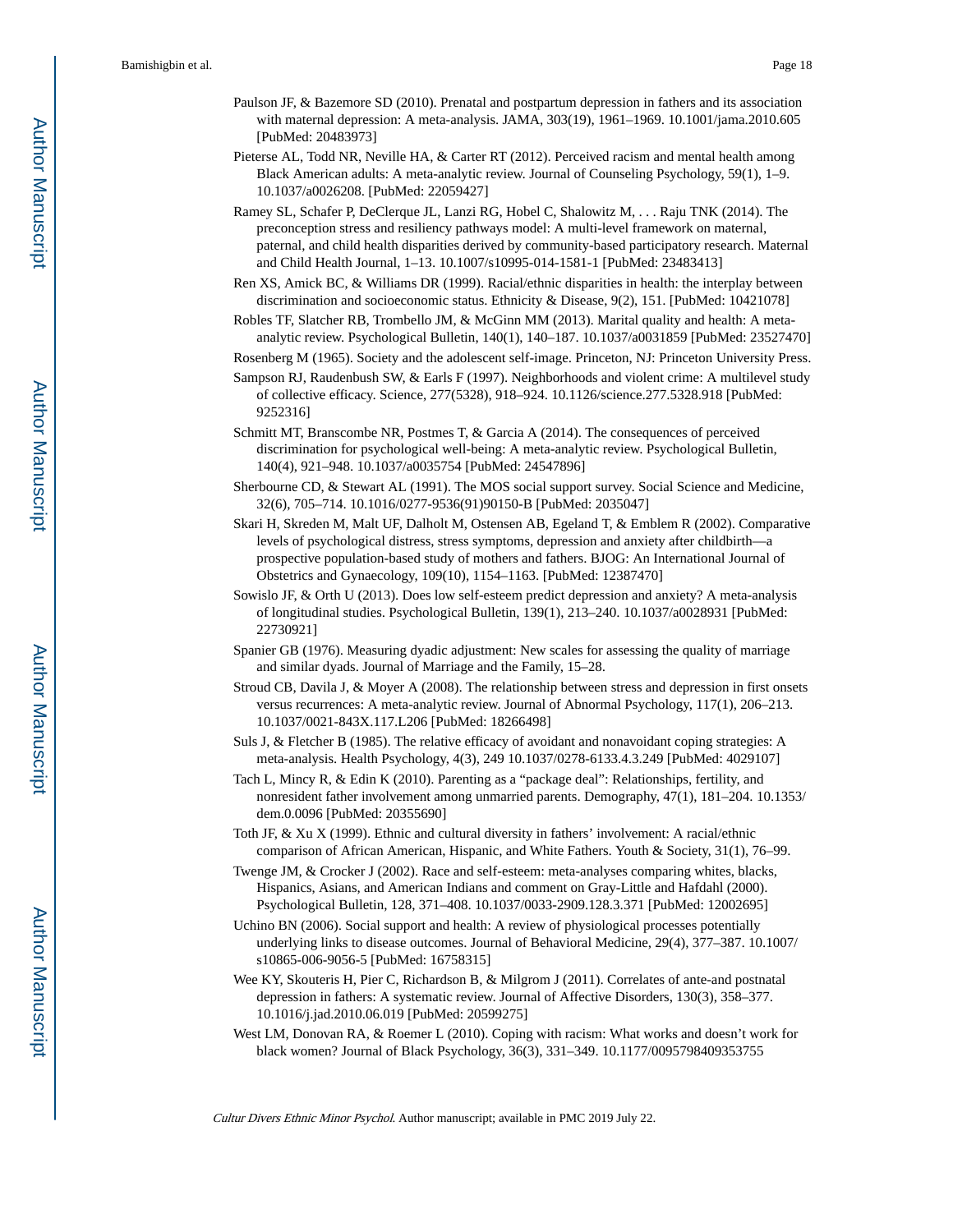- Paulson JF, & Bazemore SD (2010). Prenatal and postpartum depression in fathers and its association with maternal depression: A meta-analysis. JAMA, 303(19), 1961–1969. 10.1001/jama.2010.605 [PubMed: 20483973]
- Pieterse AL, Todd NR, Neville HA, & Carter RT (2012). Perceived racism and mental health among Black American adults: A meta-analytic review. Journal of Counseling Psychology, 59(1), 1–9. 10.1037/a0026208. [PubMed: 22059427]
- Ramey SL, Schafer P, DeClerque JL, Lanzi RG, Hobel C, Shalowitz M, . . . Raju TNK (2014). The preconception stress and resiliency pathways model: A multi-level framework on maternal, paternal, and child health disparities derived by community-based participatory research. Maternal and Child Health Journal, 1–13. 10.1007/s10995-014-1581-1 [PubMed: 23483413]
- Ren XS, Amick BC, & Williams DR (1999). Racial/ethnic disparities in health: the interplay between discrimination and socioeconomic status. Ethnicity & Disease, 9(2), 151. [PubMed: 10421078]
- Robles TF, Slatcher RB, Trombello JM, & McGinn MM (2013). Marital quality and health: A metaanalytic review. Psychological Bulletin, 140(1), 140–187. 10.1037/a0031859 [PubMed: 23527470]
- Rosenberg M (1965). Society and the adolescent self-image. Princeton, NJ: Princeton University Press.
- Sampson RJ, Raudenbush SW, & Earls F (1997). Neighborhoods and violent crime: A multilevel study of collective efficacy. Science, 277(5328), 918–924. 10.1126/science.277.5328.918 [PubMed: 9252316]
- Schmitt MT, Branscombe NR, Postmes T, & Garcia A (2014). The consequences of perceived discrimination for psychological well-being: A meta-analytic review. Psychological Bulletin, 140(4), 921–948. 10.1037/a0035754 [PubMed: 24547896]
- Sherbourne CD, & Stewart AL (1991). The MOS social support survey. Social Science and Medicine, 32(6), 705–714. 10.1016/0277-9536(91)90150-B [PubMed: 2035047]
- Skari H, Skreden M, Malt UF, Dalholt M, Ostensen AB, Egeland T, & Emblem R (2002). Comparative levels of psychological distress, stress symptoms, depression and anxiety after childbirth—a prospective population-based study of mothers and fathers. BJOG: An International Journal of Obstetrics and Gynaecology, 109(10), 1154–1163. [PubMed: 12387470]
- Sowislo JF, & Orth U (2013). Does low self-esteem predict depression and anxiety? A meta-analysis of longitudinal studies. Psychological Bulletin, 139(1), 213–240. 10.1037/a0028931 [PubMed: 22730921]
- Spanier GB (1976). Measuring dyadic adjustment: New scales for assessing the quality of marriage and similar dyads. Journal of Marriage and the Family, 15–28.
- Stroud CB, Davila J, & Moyer A (2008). The relationship between stress and depression in first onsets versus recurrences: A meta-analytic review. Journal of Abnormal Psychology, 117(1), 206–213. 10.1037/0021-843X.117.L206 [PubMed: 18266498]
- Suls J, & Fletcher B (1985). The relative efficacy of avoidant and nonavoidant coping strategies: A meta-analysis. Health Psychology, 4(3), 249 10.1037/0278-6133.4.3.249 [PubMed: 4029107]
- Tach L, Mincy R, & Edin K (2010). Parenting as a "package deal": Relationships, fertility, and nonresident father involvement among unmarried parents. Demography, 47(1), 181–204. 10.1353/ dem.0.0096 [PubMed: 20355690]
- Toth JF, & Xu X (1999). Ethnic and cultural diversity in fathers' involvement: A racial/ethnic comparison of African American, Hispanic, and White Fathers. Youth & Society, 31(1), 76–99.
- Twenge JM, & Crocker J (2002). Race and self-esteem: meta-analyses comparing whites, blacks, Hispanics, Asians, and American Indians and comment on Gray-Little and Hafdahl (2000). Psychological Bulletin, 128, 371–408. 10.1037/0033-2909.128.3.371 [PubMed: 12002695]
- Uchino BN (2006). Social support and health: A review of physiological processes potentially underlying links to disease outcomes. Journal of Behavioral Medicine, 29(4), 377–387. 10.1007/ s10865-006-9056-5 [PubMed: 16758315]
- Wee KY, Skouteris H, Pier C, Richardson B, & Milgrom J (2011). Correlates of ante-and postnatal depression in fathers: A systematic review. Journal of Affective Disorders, 130(3), 358–377. 10.1016/j.jad.2010.06.019 [PubMed: 20599275]
- West LM, Donovan RA, & Roemer L (2010). Coping with racism: What works and doesn't work for black women? Journal of Black Psychology, 36(3), 331–349. 10.1177/0095798409353755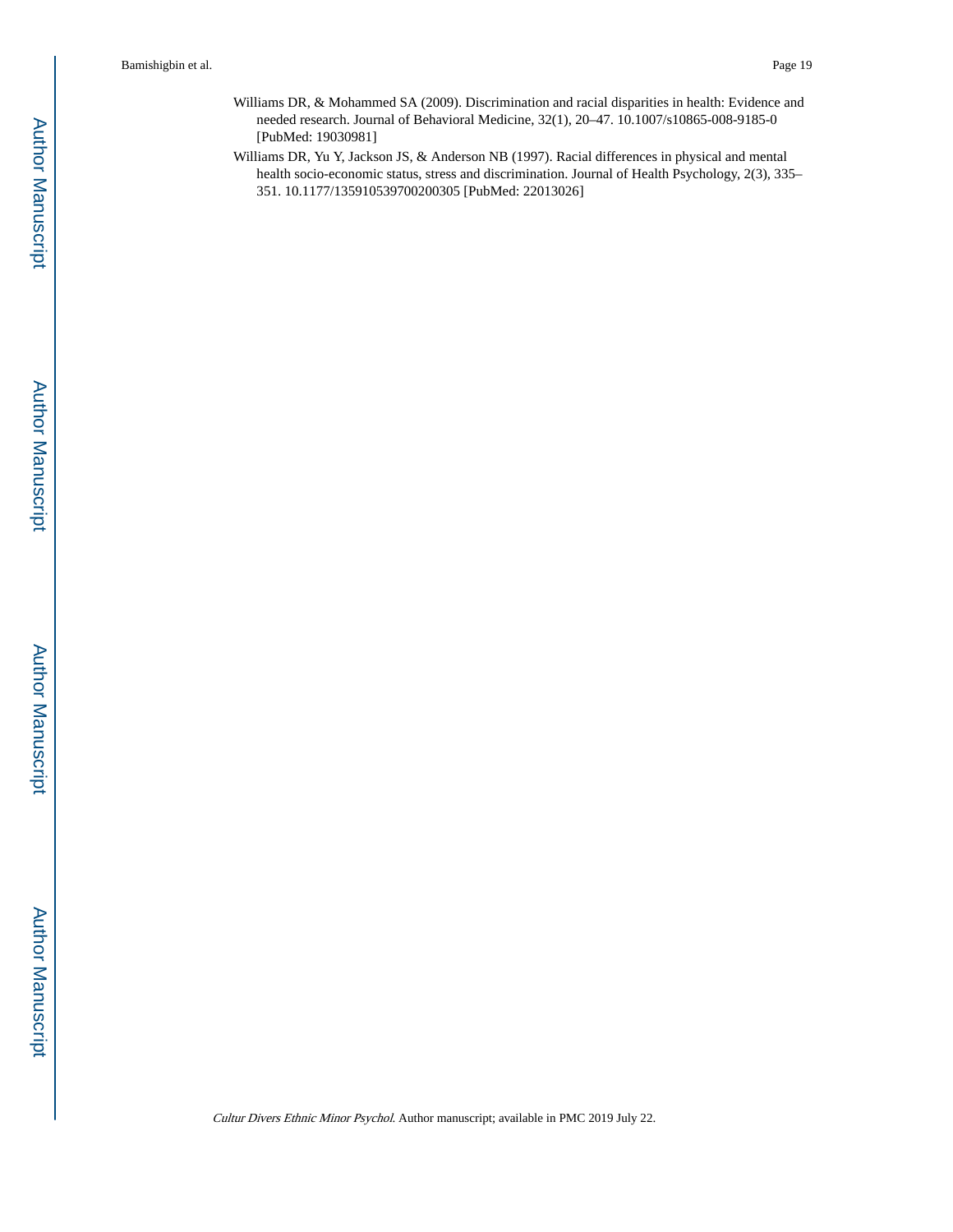- Williams DR, & Mohammed SA (2009). Discrimination and racial disparities in health: Evidence and needed research. Journal of Behavioral Medicine, 32(1), 20–47. 10.1007/s10865-008-9185-0 [PubMed: 19030981]
- Williams DR, Yu Y, Jackson JS, & Anderson NB (1997). Racial differences in physical and mental health socio-economic status, stress and discrimination. Journal of Health Psychology, 2(3), 335– 351. 10.1177/135910539700200305 [PubMed: 22013026]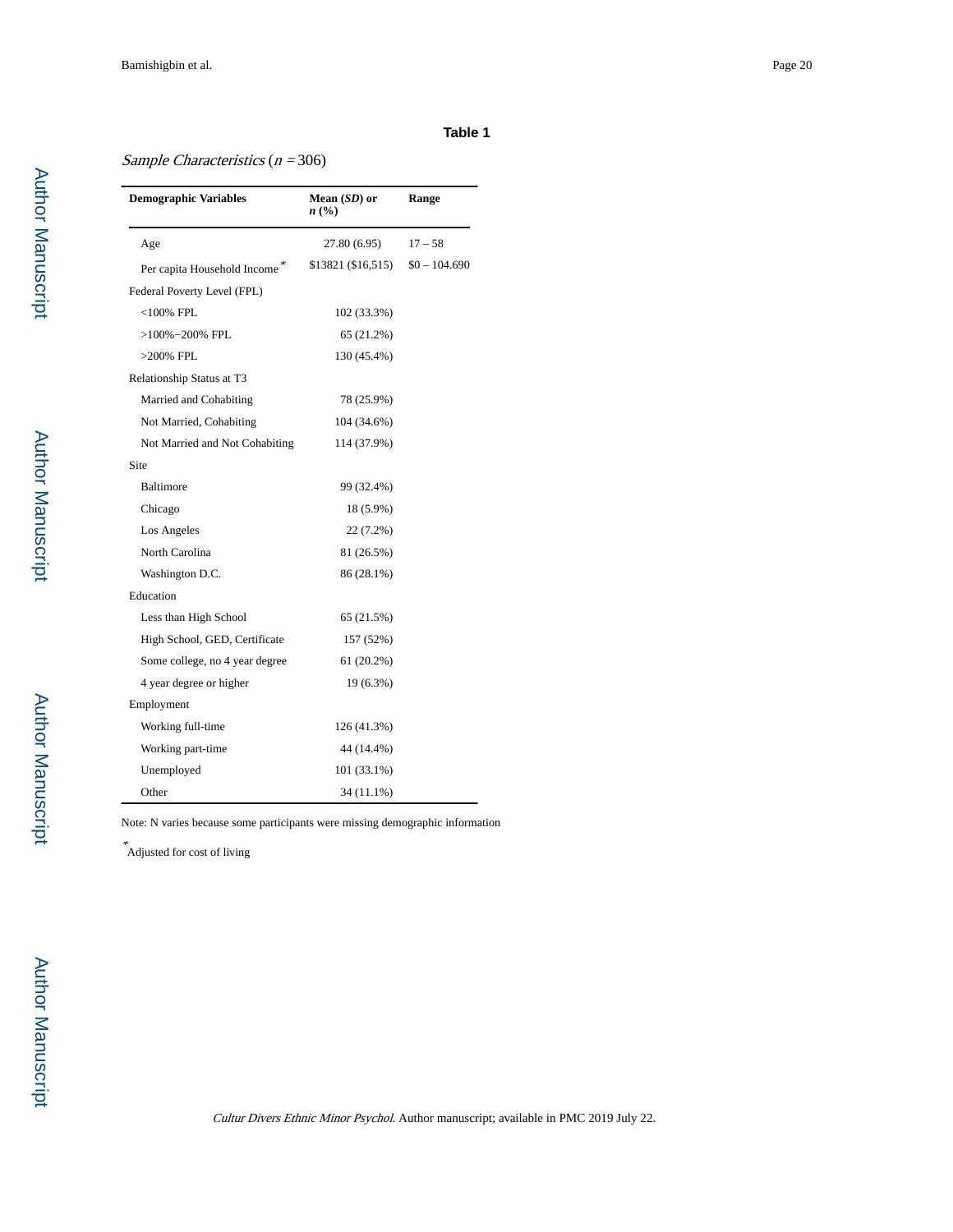# Sample Characteristics  $(n = 306)$

| <b>Demographic Variables</b>   | Mean (SD) or<br>n(%) | Range          |
|--------------------------------|----------------------|----------------|
| Age                            | 27.80 (6.95)         | $17 - 58$      |
| Per capita Household Income*   | \$13821 (\$16,515)   | $$0 - 104.690$ |
| Federal Poverty Level (FPL)    |                      |                |
| $<$ 100% FPL                   | 102 (33.3%)          |                |
| >100%-200% FPL                 | 65 (21.2%)           |                |
| $>200\%$ FPL                   | 130 (45.4%)          |                |
| Relationship Status at T3      |                      |                |
| Married and Cohabiting         | 78 (25.9%)           |                |
| Not Married, Cohabiting        | 104 (34.6%)          |                |
| Not Married and Not Cohabiting | 114 (37.9%)          |                |
| Site                           |                      |                |
| Baltimore                      | 99 (32.4%)           |                |
| Chicago                        | 18 (5.9%)            |                |
| Los Angeles                    | 22 (7.2%)            |                |
| North Carolina                 | 81 (26.5%)           |                |
| Washington D.C.                | 86 (28.1%)           |                |
| Education                      |                      |                |
| Less than High School          | 65 (21.5%)           |                |
| High School, GED, Certificate  | 157 (52%)            |                |
| Some college, no 4 year degree | 61 (20.2%)           |                |
| 4 year degree or higher        | 19 (6.3%)            |                |
| Employment                     |                      |                |
| Working full-time              | 126 (41.3%)          |                |
| Working part-time              | 44 (14.4%)           |                |
| Unemployed                     | 101 (33.1%)          |                |
| Other                          | 34 (11.1%)           |                |

Note: N varies because some participants were missing demographic information

\* Adjusted for cost of living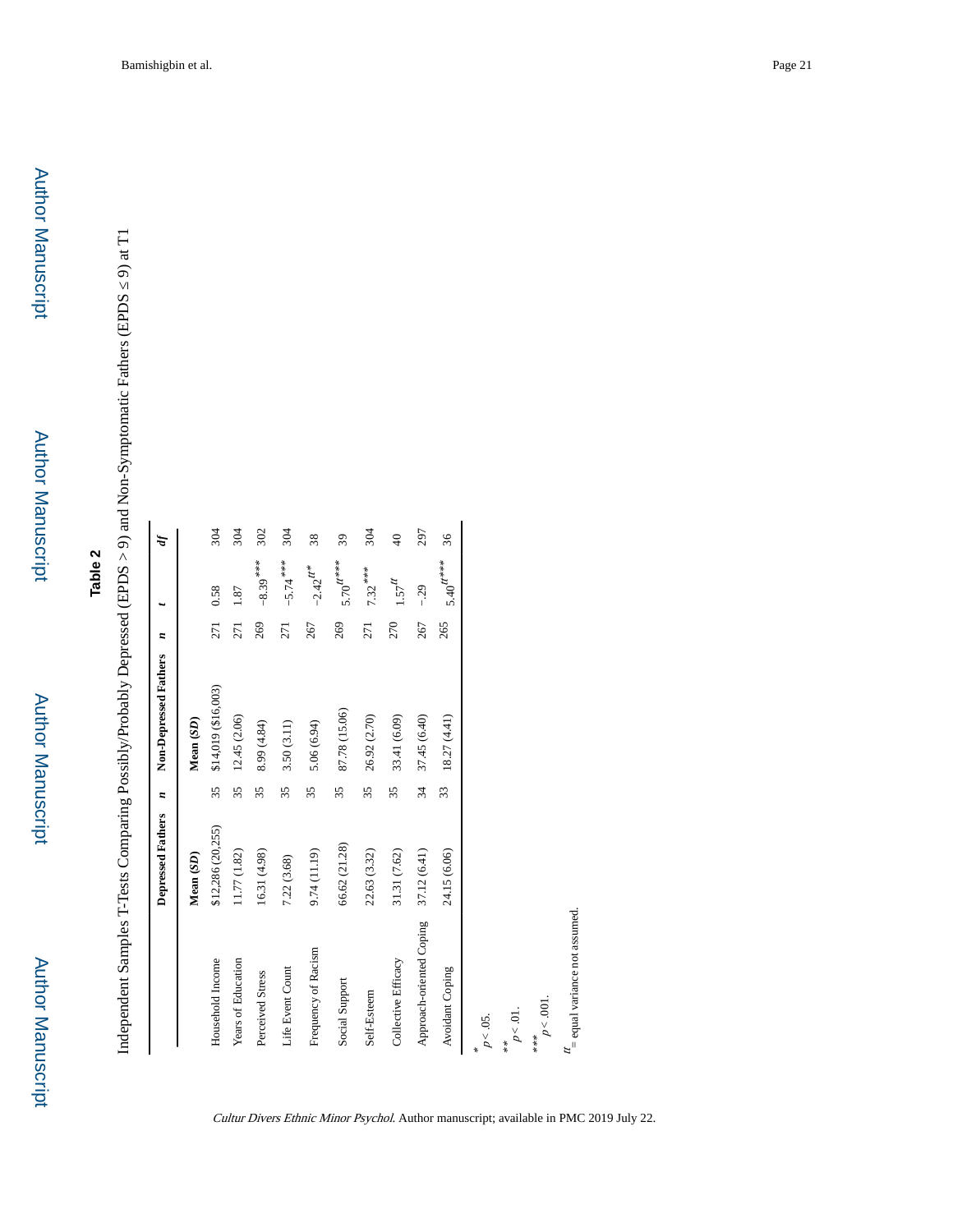Independent Samples T-Tests Comparing Possibly/Probably Depressed (EPDS > 9) and Non-Symptomatic Fathers (EPDS 9) at T1 Independent Samples T-Tests Comparing Possibly/Probably Depressed (EPDS > 9) and Non-Symptomatic Fathers (EPDS ≤ 9) at T1

|                                           | Depressed Fathers | $\overline{\phantom{a}}$ | Non-Depressed Fathers | $\boldsymbol{z}$ |               | Þ        |
|-------------------------------------------|-------------------|--------------------------|-----------------------|------------------|---------------|----------|
|                                           | Mean (SD)         |                          | Mean (SD)             |                  |               |          |
| Household Income                          | \$12,286 (20,255) | 35                       | \$14,019 (\$16,003)   | 271              | 0.58          | 304      |
| Years of Education                        | 11.77 (1.82)      | 35                       | 12.45 (2.06)          | 271              | 1.87          | 304      |
| Perceived Stress                          | 16.31 (4.98)      | 35                       | 8.99(4.84)            | 269              | $-8.39***$    | 302      |
| Life Event Count                          | 7.22(3.68)        | 35                       | 3.50 (3.11)           | 271              | $-5.74***$    | 304      |
| Frequency of Racism                       | 9.74 (11.19)      | 35                       | 5.06(6.94)            | 267              | $-2.42^{H*}$  | 38       |
| Social Support                            | 66.62 (21.28)     | 35                       | 87.78 (15.06)         | 269              | $5.70^{H***}$ | 39       |
| Self-Esteem                               | 22.63 (3.32)      | 35                       | 26.92 (2.70)          | 271              | $7.32***$     | 304      |
| Collective Efficacy                       | 31.31(7.62)       | 35                       | 33.41 (6.09)          | 270              | $1.57^{H}$    | $\Theta$ |
| Approach-oriented Coping                  | 37.12(6.41)       | 34                       | 37.45 (6.40)          | 267              | $-29$         | 297      |
| Avoidant Coping                           | 24.15 (6.06)      | 33                       | 18.27(4.41)           | 265              | $5.40^{H***}$ | 36       |
| $p<.05.$                                  |                   |                          |                       |                  |               |          |
| $p<.01$ .<br>**                           |                   |                          |                       |                  |               |          |
| $p < .001$ .<br>***                       |                   |                          |                       |                  |               |          |
| $t_{\rm c}$ = equal variance not assumed. |                   |                          |                       |                  |               |          |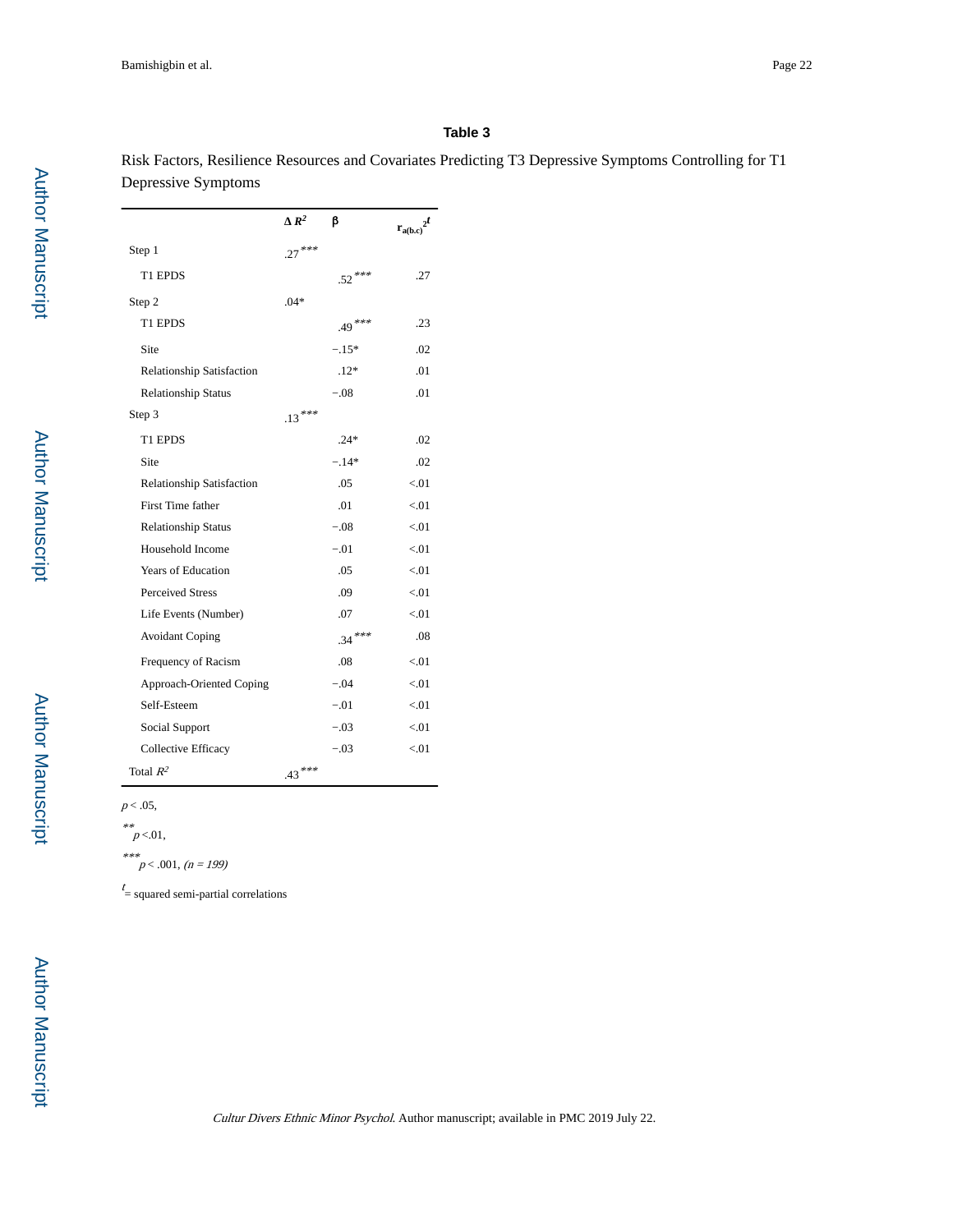Risk Factors, Resilience Resources and Covariates Predicting T3 Depressive Symptoms Controlling for T1 Depressive Symptoms

|                                  | $R^2$    | ß        | $r_{a(b,c)}^{2t}$ |
|----------------------------------|----------|----------|-------------------|
| Step 1                           | $.27***$ |          |                   |
| T1 EPDS                          |          | $.52***$ | .27               |
| Step 2                           | $.04*$   |          |                   |
| T1 EPDS                          |          | .49***   | .23               |
| Site                             |          | $-.15*$  | .02               |
| <b>Relationship Satisfaction</b> |          | $.12*$   | .01               |
| <b>Relationship Status</b>       |          | $-.08$   | .01               |
| Step 3                           | $.13***$ |          |                   |
| T1 EPDS                          |          | $.24*$   | .02               |
| Site                             |          | $-.14*$  | .02               |
| <b>Relationship Satisfaction</b> |          | .05      | < 0.01            |
| First Time father                |          | .01      | < 01              |
| <b>Relationship Status</b>       |          | $-.08$   | < 01              |
| Household Income                 |          | $-.01$   | < 01              |
| <b>Years of Education</b>        |          | .05      | < 01              |
| <b>Perceived Stress</b>          |          | .09      | < 0.01            |
| Life Events (Number)             |          | .07      | < 01              |
| <b>Avoidant Coping</b>           |          | $.34***$ | .08               |
| Frequency of Racism              |          | .08      | < 01              |
| Approach-Oriented Coping         |          | $-.04$   | < 01              |
| Self-Esteem                      |          | $-.01$   | < 01              |
| Social Support                   |          | $-.03$   | < 01              |
| <b>Collective Efficacy</b>       |          | $-.03$   | < 01              |
| Total $R^2$                      | $.43***$ |          |                   |

 $p < .05$ ,

\*\*<br> $p < 01,$ 

\*\*\* $p < .001, (n = 199)$ 

 $t =$  squared semi-partial correlations